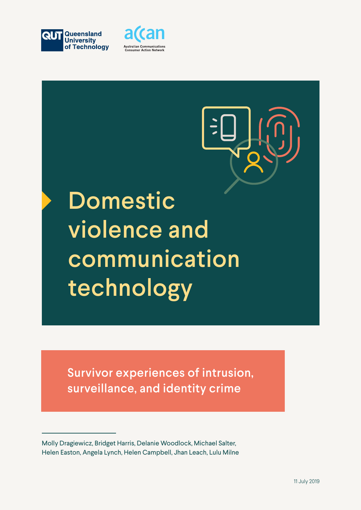





Domestic violence and communication technology

Survivor experiences of intrusion, surveillance, and identity crime

Molly Dragiewicz, Bridget Harris, Delanie Woodlock, Michael Salter, Helen Easton, Angela Lynch, Helen Campbell, Jhan Leach, Lulu Milne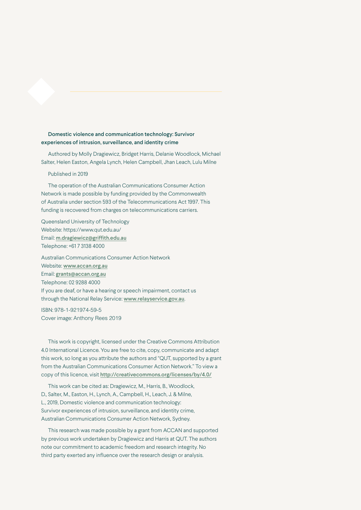#### Domestic violence and communication technology: Survivor experiences of intrusion, surveillance, and identity crime

Authored by Molly Dragiewicz, Bridget Harris, Delanie Woodlock, Michael Salter, Helen Easton, Angela Lynch, Helen Campbell, Jhan Leach, Lulu Milne

Published in 2019

The operation of the Australian Communications Consumer Action Network is made possible by funding provided by the Commonwealth of Australia under section 593 of the Telecommunications Act 1997. This funding is recovered from charges on telecommunications carriers.

Queensland University of Technology Website: https://www.qut.edu.au/ Email: m.dragiewicz@griffith.edu.au Telephone: +61 7 3138 4000

Australian Communications Consumer Action Network Website: www.accan.org.au Email: grants@accan.org.au Telephone: 02 9288 4000 If you are deaf, or have a hearing or speech impairment, contact us through the National Relay Service: www.relayservice.gov.au.

ISBN: 978-1-921974-59-5 Cover image: Anthony Rees 2019

This work is copyright, licensed under the Creative Commons Attribution 4.0 International Licence. You are free to cite, copy, communicate and adapt this work, so long as you attribute the authors and "QUT, supported by a grant from the Australian Communications Consumer Action Network." To view a copy of this licence, visit http://creativecommons.org/licenses/by/4.0/

This work can be cited as: Dragiewicz, M., Harris, B., Woodlock, D., Salter, M., Easton, H., Lynch, A., Campbell, H., Leach, J. & Milne, L., 2019, Domestic violence and communication technology: Survivor experiences of intrusion, surveillance, and identity crime, Australian Communications Consumer Action Network, Sydney.

This research was made possible by a grant from ACCAN and supported by previous work undertaken by Dragiewicz and Harris at QUT. The authors note our commitment to academic freedom and research integrity. No third party exerted any influence over the research design or analysis.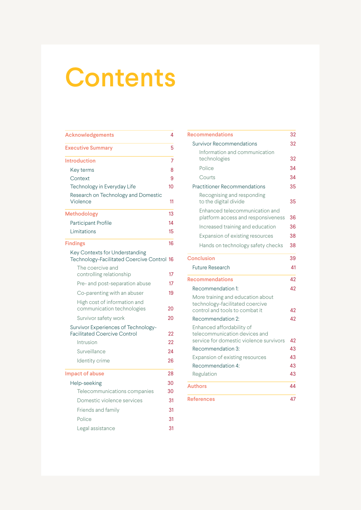## **Contents**

| Acknowledgements                                                             |                 |
|------------------------------------------------------------------------------|-----------------|
| <b>Executive Summary</b>                                                     | 5               |
| <b>Introduction</b>                                                          | 7               |
| Key terms                                                                    | 8               |
| Context                                                                      | 9               |
| Technology in Everyday Life                                                  | 10              |
| Research on Technology and Domestic<br>Violence                              | 11              |
|                                                                              |                 |
| <b>Methodology</b>                                                           | 13 <sup>2</sup> |
| Participant Profile                                                          | 14              |
| Limitations                                                                  | 15              |
| <b>Findings</b>                                                              | 16              |
| Key Contexts for Understanding<br>Technology-Facilitated Coercive Control 16 |                 |
| The coercive and<br>controlling relationship                                 | 17              |
| Pre- and post-separation abuse                                               | 17              |
| Co-parenting with an abuser                                                  | 19              |
| High cost of information and<br>communication technologies                   | 20              |
| Survivor safety work                                                         | 20              |
| Survivor Experiences of Technology-<br><b>Facilitated Coercive Control</b>   | 22              |
| Intrusion                                                                    | 22              |
| Surveillance                                                                 | 24              |
| Identity crime                                                               | 26              |
| Impact of abuse                                                              | 28              |
| Help-seeking                                                                 | 30              |
| Telecommunications companies                                                 | 30              |
| Domestic violence services                                                   | 31              |
| Friends and family                                                           | 31              |
| Police                                                                       | 31              |
| Legal assistance                                                             | 31              |
|                                                                              |                 |

| Recommendation 1:<br>42<br>More training and education about<br>technology-facilitated coercive<br>control and tools to combat it<br>42<br>Recommendation 2:<br>42<br>Enhanced affordability of<br>telecommunication devices and<br>service for domestic violence survivors<br>42<br>Recommendation 3:<br>43<br>43<br>Expansion of existing resources | <b>Recommendations</b> | 42 |
|-------------------------------------------------------------------------------------------------------------------------------------------------------------------------------------------------------------------------------------------------------------------------------------------------------------------------------------------------------|------------------------|----|
|                                                                                                                                                                                                                                                                                                                                                       |                        |    |
|                                                                                                                                                                                                                                                                                                                                                       |                        |    |
|                                                                                                                                                                                                                                                                                                                                                       |                        |    |
|                                                                                                                                                                                                                                                                                                                                                       |                        |    |
|                                                                                                                                                                                                                                                                                                                                                       |                        |    |
|                                                                                                                                                                                                                                                                                                                                                       |                        |    |
|                                                                                                                                                                                                                                                                                                                                                       |                        |    |
|                                                                                                                                                                                                                                                                                                                                                       |                        |    |
|                                                                                                                                                                                                                                                                                                                                                       |                        |    |
|                                                                                                                                                                                                                                                                                                                                                       |                        |    |
|                                                                                                                                                                                                                                                                                                                                                       |                        |    |
|                                                                                                                                                                                                                                                                                                                                                       |                        |    |
|                                                                                                                                                                                                                                                                                                                                                       |                        |    |
|                                                                                                                                                                                                                                                                                                                                                       |                        |    |
| 43<br>Regulation                                                                                                                                                                                                                                                                                                                                      | Recommendation 4:      | 43 |
|                                                                                                                                                                                                                                                                                                                                                       |                        |    |
|                                                                                                                                                                                                                                                                                                                                                       |                        |    |
|                                                                                                                                                                                                                                                                                                                                                       | <b>Authors</b>         | 44 |
|                                                                                                                                                                                                                                                                                                                                                       |                        |    |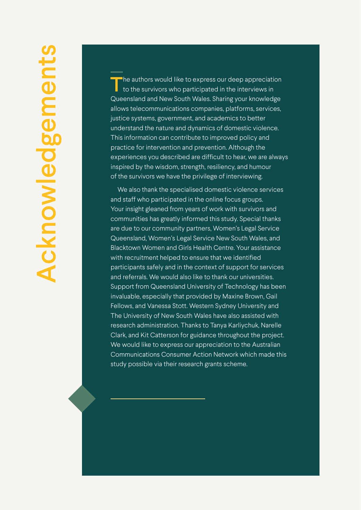The authors would like to express our deep appreciation<br>to the survivors who participated in the interviews in Queensland and New South Wales. Sharing your knowledge allows telecommunications companies, platforms, services, justice systems, government, and academics to better understand the nature and dynamics of domestic violence. This information can contribute to improved policy and practice for intervention and prevention. Although the experiences you described are difficult to hear, we are always inspired by the wisdom, strength, resiliency, and humour of the survivors we have the privilege of interviewing.

We also thank the specialised domestic violence services and staff who participated in the online focus groups. Your insight gleaned from years of work with survivors and communities has greatly informed this study. Special thanks are due to our community partners, Women's Legal Service Queensland, Women's Legal Service New South Wales, and Blacktown Women and Girls Health Centre. Your assistance with recruitment helped to ensure that we identified participants safely and in the context of support for services and referrals. We would also like to thank our universities. Support from Queensland University of Technology has been invaluable, especially that provided by Maxine Brown, Gail Fellows, and Vanessa Stott. Western Sydney University and The University of New South Wales have also assisted with research administration. Thanks to Tanya Karliychuk, Narelle Clark, and Kit Catterson for guidance throughout the project. We would like to express our appreciation to the Australian Communications Consumer Action Network which made this study possible via their research grants scheme.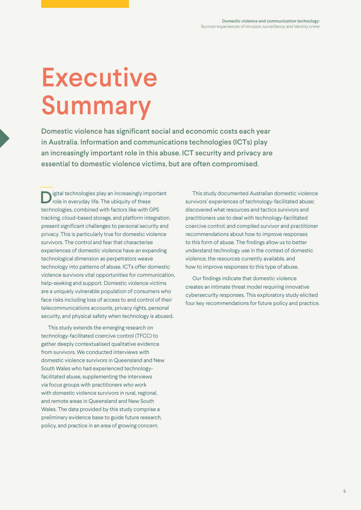## **Executive** Summary

Domestic violence has significant social and economic costs each year in Australia. Information and communications technologies (ICTs) play an increasingly important role in this abuse. ICT security and privacy are essential to domestic violence victims, but are often compromised.

igital technologies play an increasingly important role in everyday life. The ubiquity of these technologies, combined with factors like with GPS tracking, cloud-based storage, and platform integration, present significant challenges to personal security and privacy. This is particularly true for domestic violence survivors. The control and fear that characterise experiences of domestic violence have an expanding technological dimension as perpetrators weave technology into patterns of abuse. ICTs offer domestic violence survivors vital opportunities for communication, help-seeking and support. Domestic violence victims are a uniquely vulnerable population of consumers who face risks including loss of access to and control of their telecommunications accounts, privacy rights, personal security, and physical safety when technology is abused.

This study extends the emerging research on technology-facilitated coercive control (TFCC) to gather deeply contextualised qualitative evidence from survivors. We conducted interviews with domestic violence survivors in Queensland and New South Wales who had experienced technologyfacilitated abuse, supplementing the interviews via focus groups with practitioners who work with domestic violence survivors in rural, regional, and remote areas in Queensland and New South Wales. The data provided by this study comprise a preliminary evidence base to guide future research, policy, and practice in an area of growing concern.

This study documented Australian domestic violence survivors' experiences of technology-facilitated abuse; discovered what resources and tactics survivors and practitioners use to deal with technology-facilitated coercive control; and compiled survivor and practitioner recommendations about how to improve responses to this form of abuse. The findings allow us to better understand technology use in the context of domestic violence, the resources currently available, and how to improve responses to this type of abuse.

Our findings indicate that domestic violence creates an intimate threat model requiring innovative cybersecurity responses. This exploratory study elicited four key recommendations for future policy and practice.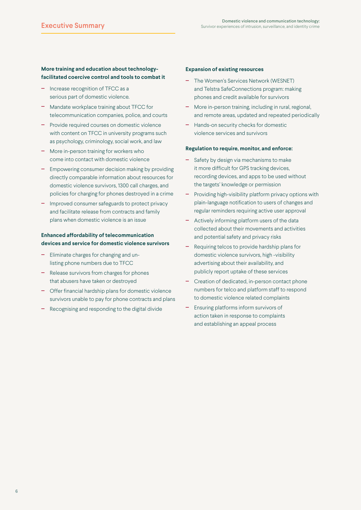#### **More training and education about technologyfacilitated coercive control and tools to combat it**

- **\_** Increase recognition of TFCC as a serious part of domestic violence.
- **\_** Mandate workplace training about TFCC for telecommunication companies, police, and courts
- **\_** Provide required courses on domestic violence with content on TFCC in university programs such as psychology, criminology, social work, and law
- **\_** More in-person training for workers who come into contact with domestic violence
- **\_** Empowering consumer decision making by providing directly comparable information about resources for domestic violence survivors, 1300 call charges, and policies for charging for phones destroyed in a crime
- **\_** Improved consumer safeguards to protect privacy and facilitate release from contracts and family plans when domestic violence is an issue

#### **Enhanced affordability of telecommunication devices and service for domestic violence survivors**

- **\_** Eliminate charges for changing and unlisting phone numbers due to TFCC
- **\_** Release survivors from charges for phones that abusers have taken or destroyed
- **\_** Offer financial hardship plans for domestic violence survivors unable to pay for phone contracts and plans
- **\_** Recognising and responding to the digital divide

#### **Expansion of existing resources**

- **\_** The Women's Services Network (WESNET) and Telstra SafeConnections program: making phones and credit available for survivors
- **\_** More in-person training, including in rural, regional, and remote areas, updated and repeated periodically
- **\_** Hands-on security checks for domestic violence services and survivors

#### **Regulation to require, monitor, and enforce:**

- **\_** Safety by design via mechanisms to make it more difficult for GPS tracking devices, recording devices, and apps to be used without the targets' knowledge or permission
- **\_** Providing high-visibility platform privacy options with plain-language notification to users of changes and regular reminders requiring active user approval
- **\_** Actively informing platform users of the data collected about their movements and activities and potential safety and privacy risks
- **\_** Requiring telcos to provide hardship plans for domestic violence survivors, high -visibility advertising about their availability, and publicly report uptake of these services
- **\_** Creation of dedicated, in-person contact phone numbers for telco and platform staff to respond to domestic violence related complaints
- **\_** Ensuring platforms inform survivors of action taken in response to complaints and establishing an appeal process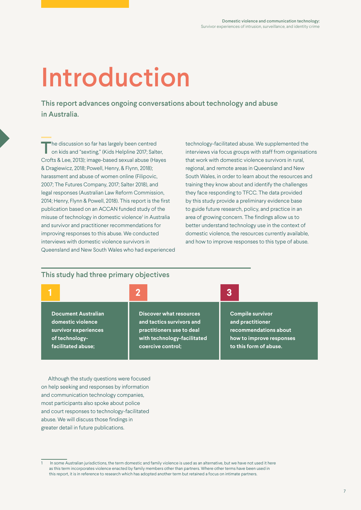## Introduction

This report advances ongoing conversations about technology and abuse in Australia.

The discussion so far has largely been centred<br>
on kids and "sexting," (Kids Helpline 2017; Salter, Crofts & Lee, 2013); image-based sexual abuse (Hayes & Dragiewicz, 2018; Powell, Henry, & Flynn, 2018); harassment and abuse of women online (Filipovic, 2007; The Futures Company, 2017; Salter 2018), and legal responses (Australian Law Reform Commission, 2014; Henry, Flynn & Powell, 2018). This report is the first publication based on an ACCAN funded study of the misuse of technology in domestic violence<sup>1</sup> in Australia and survivor and practitioner recommendations for improving responses to this abuse. We conducted interviews with domestic violence survivors in Queensland and New South Wales who had experienced

technology-facilitated abuse. We supplemented the interviews via focus groups with staff from organisations that work with domestic violence survivors in rural, regional, and remote areas in Queensland and New South Wales, in order to learn about the resources and training they know about and identify the challenges they face responding to TFCC. The data provided by this study provide a preliminary evidence base to guide future research, policy, and practice in an area of growing concern. The findings allow us to better understand technology use in the context of domestic violence, the resources currently available, and how to improve responses to this type of abuse.

#### This study had three primary objectives

|                            | ŋ                              | 3                        |
|----------------------------|--------------------------------|--------------------------|
| <b>Document Australian</b> | <b>Discover what resources</b> | <b>Compile survivor</b>  |
| domestic violence          | and tactics survivors and      | and practitioner         |
| survivor experiences       | practitioners use to deal      | recommendations about    |
| of technology-             | with technology-facilitated    | how to improve responses |
| facilitated abuse;         | coercive control;              | to this form of abuse.   |

Although the study questions were focused on help seeking and responses by information and communication technology companies, most participants also spoke about police and court responses to technology-facilitated abuse. We will discuss those findings in greater detail in future publications.

<sup>1</sup> In some Australian jurisdictions, the term domestic and family violence is used as an alternative, but we have not used it here as this term incorporates violence enacted by family members other than partners. Where other terms have been used in this report, it is in reference to research which has adopted another term but retained a focus on intimate partners.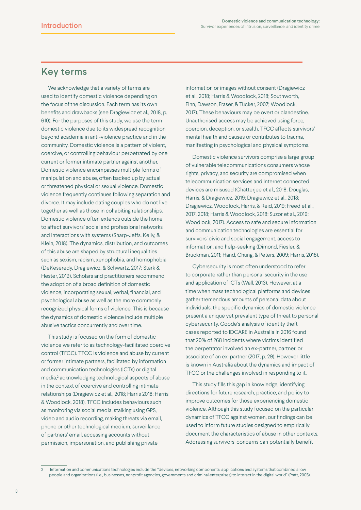### Key terms

We acknowledge that a variety of terms are used to identify domestic violence depending on the focus of the discussion. Each term has its own benefits and drawbacks (see Dragiewicz et al., 2018, p. 610). For the purposes of this study, we use the term domestic violence due to its widespread recognition beyond academia in anti-violence practice and in the community. Domestic violence is a pattern of violent, coercive, or controlling behaviour perpetrated by one current or former intimate partner against another. Domestic violence encompasses multiple forms of manipulation and abuse, often backed up by actual or threatened physical or sexual violence. Domestic violence frequently continues following separation and divorce. It may include dating couples who do not live together as well as those in cohabiting relationships. Domestic violence often extends outside the home to affect survivors' social and professional networks and interactions with systems (Sharp-Jeffs, Kelly, & Klein, 2018). The dynamics, distribution, and outcomes of this abuse are shaped by structural inequalities such as sexism, racism, xenophobia, and homophobia (DeKeseredy, Dragiewicz, & Schwartz, 2017; Stark & Hester, 2019). Scholars and practitioners recommend the adoption of a broad definition of domestic violence, incorporating sexual, verbal, financial, and psychological abuse as well as the more commonly recognized physical forms of violence. This is because the dynamics of domestic violence include multiple abusive tactics concurrently and over time.

This study is focused on the form of domestic violence we refer to as technology-facilitated coercive control (TFCC). TFCC is violence and abuse by current or former intimate partners, facilitated by information and communication technologies (ICTs) or digital media,<sup>2</sup> acknowledging technological aspects of abuse in the context of coercive and controlling intimate relationships (Dragiewicz et al., 2018; Harris 2018; Harris & Woodlock, 2018). TFCC includes behaviours such as monitoring via social media, stalking using GPS, video and audio recording, making threats via email, phone or other technological medium, surveillance of partners' email, accessing accounts without permission, impersonation, and publishing private

information or images without consent (Dragiewicz et al., 2018; Harris & Woodlock, 2018; Southworth, Finn, Dawson, Fraser, & Tucker, 2007; Woodlock, 2017). These behaviours may be overt or clandestine. Unauthorised access may be achieved using force, coercion, deception, or stealth. TFCC affects survivors' mental health and causes or contributes to trauma, manifesting in psychological and physical symptoms.

Domestic violence survivors comprise a large group of vulnerable telecommunications consumers whose rights, privacy, and security are compromised when telecommunication services and Internet connected devices are misused (Chatterjee et al., 2018; Douglas, Harris, & Dragiewicz, 2019; Dragiewicz et al., 2018; Dragiewicz, Woodlock, Harris, & Reid, 2019; Freed et al., 2017, 2018; Harris & Woodlock, 2018; Suzor et al., 2019; Woodlock, 2017). Access to safe and secure information and communication technologies are essential for survivors' civic and social engagement, access to information, and help-seeking (Dimond, Fiesler, & Bruckman, 2011; Hand, Chung, & Peters, 2009; Harris, 2018).

Cybersecurity is most often understood to refer to corporate rather than personal security in the use and application of ICTs (Wall, 2013). However, at a time when mass technological platforms and devices gather tremendous amounts of personal data about individuals, the specific dynamics of domestic violence present a unique yet prevalent type of threat to personal cybersecurity. Goode's analysis of identity theft cases reported to IDCARE in Australia in 2016 found that 20% of 268 incidents where victims identified the perpetrator involved an ex-partner, partner, or associate of an ex-partner (2017, p. 29). However little is known in Australia about the dynamics and impact of TFCC or the challenges involved in responding to it.

This study fills this gap in knowledge, identifying directions for future research, practice, and policy to improve outcomes for those experiencing domestic violence. Although this study focused on the particular dynamics of TFCC against women, our findings can be used to inform future studies designed to empirically document the characteristics of abuse in other contexts. Addressing survivors' concerns can potentially benefit

<sup>2</sup> Information and communications technologies include the "devices, networking components, applications and systems that combined allow people and organizations (i.e., businesses, nonprofit agencies, governments and criminal enterprises) to interact in the digital world" (Pratt, 2005).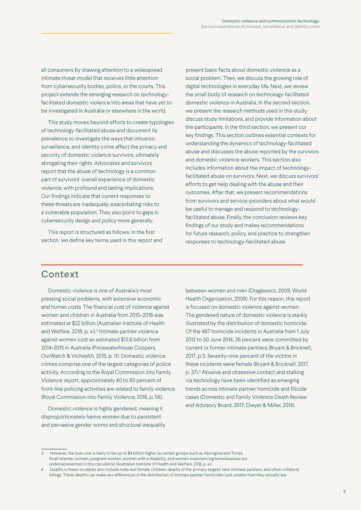all consumers by drawing attention to a widespread intimate threat model that receives little attention from cybersecurity bodies, police, or the courts. This project extends the emerging research on technologyfacilitated domestic violence into areas that have yet to be investigated in Australia or elsewhere in the world.

This study moves beyond efforts to create typologies of technology-facilitated abuse and document its prevalence to investigate the ways that intrusion, surveillance, and identity crime affect the privacy and security of domestic violence survivors, ultimately abrogating their rights. Advocates and survivors report that the abuse of technology is a common part of survivors' overall experience of domestic violence, with profound and lasting implications. Our findings indicate that current responses to these threats are inadequate, exacerbating risks to a vulnerable population. They also point to gaps in cybersecurity design and policy more generally.

This report is structured as follows. In the first section, we define key terms used in this report and

present basic facts about domestic violence as a social problem. Then, we discuss the growing role of digital technologies in everyday life. Next, we review the small body of research on technology-facilitated domestic violence in Australia. In the second section, we present the research methods used in this study, discuss study limitations, and provide information about the participants. In the third section, we present our key findings. This section outlines essential contexts for understanding the dynamics of technology-facilitated abuse and discusses the abuse reported by the survivors and domestic violence workers. This section also includes information about the impact of technologyfacilitated abuse on survivors. Next, we discuss survivors' efforts to get help dealing with the abuse and their outcomes. After that, we present recommendations from survivors and service-providers about what would be useful to manage and respond to technologyfacilitated abuse. Finally, the conclusion reviews key findings of our study and makes recommendations for future research, policy, and practice to strengthen responses to technology-facilitated abuse.

### **Context**

Domestic violence is one of Australia's most pressing social problems, with extensive economic and human costs. The financial cost of violence against women and children in Australia from 2015–2016 was estimated at \$22 billion (Australian Institute of Health and Welfare, 2018, p. xi).<sup>3</sup> Intimate partner violence against women cost an estimated \$12.6 billion from 2014-2015 in Australia (Pricewaterhouse Coopers, OurWatch & Vichealth, 2015, p. 11). Domestic violence crimes comprise one of the largest categories of police activity. According to the Royal Commission into Family Violence report, approximately 40 to 60 percent of front-line policing activities are related to family violence (Royal Commission into Family Violence, 2016, p. 56).

Domestic violence is highly gendered, meaning it disproportionately harms women due to persistent and pervasive gender norms and structural inequality

between women and men (Dragiewicz, 2009; World Health Organization, 2009). For this reason, this report is focused on domestic violence against women. The gendered nature of domestic violence is starkly illustrated by the distribution of domestic homicide. Of the 487 homicide incidents in Australia from 1 July 2012 to 30 June 2014, 26 percent were committed by current or former intimate partners (Bryant & Bricknell, 2017, p.1). Seventy-nine percent of the victims in these incidents were female (Bryant & Bricknell, 2017, p. 37).4 Abusive and obsessive contact and stalking via technology have been identified as emerging trends across intimate partner homicide and filicide cases (Domestic and Family Violence Death Review and Advisory Board, 2017; Dwyer & Miller, 2014).

<sup>3</sup> However, the true cost is likely to be up to \$4 billion higher as certain groups such as Aboriginal and Torres Strait Islander women, pregnant women, women with a disability, and women experiencing homelessness are underrepresented in this calculation (Australian Institute of Health and Welfare, 2018, p. xi).

<sup>4</sup> Deaths in these incidents also include male and female children, deaths of the primary targets' new intimate partners, and other collateral killings. These deaths can make sex differences in the distribution of intimate partner homicides look smaller than they actually are.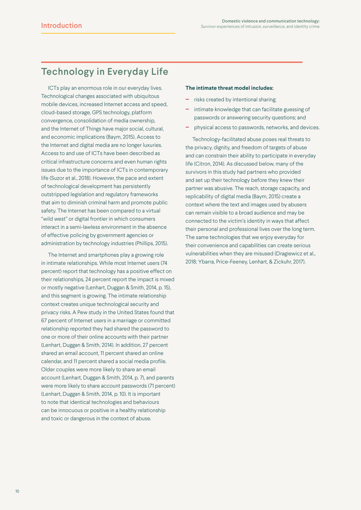## Technology in Everyday Life

ICTs play an enormous role in our everyday lives. Technological changes associated with ubiquitous mobile devices, increased Internet access and speed, cloud-based storage, GPS technology, platform convergence, consolidation of media ownership, and the Internet of Things have major social, cultural, and economic implications (Baym, 2015). Access to the Internet and digital media are no longer luxuries. Access to and use of ICTs have been described as critical infrastructure concerns and even human rights issues due to the importance of ICTs in contemporary life (Suzor et al., 2018). However, the pace and extent of technological development has persistently outstripped legislation and regulatory frameworks that aim to diminish criminal harm and promote public safety. The Internet has been compared to a virtual "wild west" or digital frontier in which consumers interact in a semi-lawless environment in the absence of effective policing by government agencies or administration by technology industries (Phillips, 2015).

The Internet and smartphones play a growing role in intimate relationships. While most Internet users (74 percent) report that technology has a positive effect on their relationships, 24 percent report the impact is mixed or mostly negative (Lenhart, Duggan & Smith, 2014, p. 15), and this segment is growing. The intimate relationship context creates unique technological security and privacy risks. A Pew study in the United States found that 67 percent of Internet users in a marriage or committed relationship reported they had shared the password to one or more of their online accounts with their partner (Lenhart, Duggan & Smith, 2014). In addition, 27 percent shared an email account, 11 percent shared an online calendar, and 11 percent shared a social media profile. Older couples were more likely to share an email account (Lenhart, Duggan & Smith, 2014, p. 7), and parents were more likely to share account passwords (71 percent) (Lenhart, Duggan & Smith, 2014, p. 10). It is important to note that identical technologies and behaviours can be innocuous or positive in a healthy relationship and toxic or dangerous in the context of abuse.

#### **The intimate threat model includes:**

- **\_** risks created by intentional sharing;
- **\_** intimate knowledge that can facilitate guessing of passwords or answering security questions; and
- **\_** physical access to passwords, networks, and devices.

Technology-facilitated abuse poses real threats to the privacy, dignity, and freedom of targets of abuse and can constrain their ability to participate in everyday life (Citron, 2014). As discussed below, many of the survivors in this study had partners who provided and set up their technology before they knew their partner was abusive. The reach, storage capacity, and replicability of digital media (Baym, 2015) create a context where the text and images used by abusers can remain visible to a broad audience and may be connected to the victim's identity in ways that affect their personal and professional lives over the long term. The same technologies that we enjoy everyday for their convenience and capabilities can create serious vulnerabilities when they are misused (Dragiewicz et al., 2018; Ybarra, Price-Feeney, Lenhart, & Zickuhr, 2017).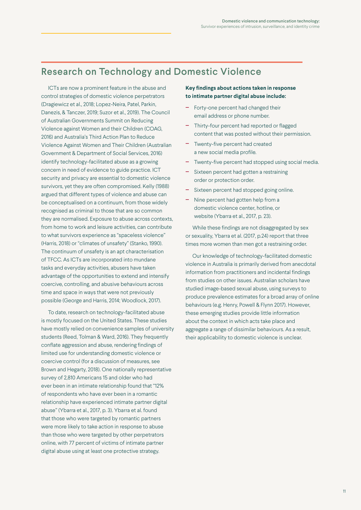## Research on Technology and Domestic Violence

ICTs are now a prominent feature in the abuse and control strategies of domestic violence perpetrators (Dragiewicz et al., 2018; Lopez-Neira, Patel, Parkin, Danezis, & Tanczer, 2019; Suzor et al., 2019). The Council of Australian Governments Summit on Reducing Violence against Women and their Children (COAG, 2016) and Australia's Third Action Plan to Reduce Violence Against Women and Their Children (Australian Government & Department of Social Services, 2016) identify technology-facilitated abuse as a growing concern in need of evidence to guide practice. ICT security and privacy are essential to domestic violence survivors, yet they are often compromised. Kelly (1988) argued that different types of violence and abuse can be conceptualised on a continuum, from those widely recognised as criminal to those that are so common they are normalised. Exposure to abuse across contexts, from home to work and leisure activities, can contribute to what survivors experience as "spaceless violence" (Harris, 2018) or "climates of unsafety" (Stanko, 1990). The continuum of unsafety is an apt characterisation of TFCC. As ICTs are incorporated into mundane tasks and everyday activities, abusers have taken advantage of the opportunities to extend and intensify coercive, controlling, and abusive behaviours across time and space in ways that were not previously possible (George and Harris, 2014; Woodlock, 2017).

To date, research on technology-facilitated abuse is mostly focused on the United States. These studies have mostly relied on convenience samples of university students (Reed, Tolman & Ward, 2016). They frequently conflate aggression and abuse, rendering findings of limited use for understanding domestic violence or coercive control (for a discussion of measures, see Brown and Hegarty, 2018). One nationally representative survey of 2,810 Americans 15 and older who had ever been in an intimate relationship found that "12% of respondents who have ever been in a romantic relationship have experienced intimate partner digital abuse" (Ybarra et al., 2017, p. 3). Ybarra et al. found that those who were targeted by romantic partners were more likely to take action in response to abuse than those who were targeted by other perpetrators online, with 77 percent of victims of intimate partner digital abuse using at least one protective strategy.

#### **Key findings about actions taken in response to intimate partner digital abuse include:**

- **\_** Forty-one percent had changed their email address or phone number.
- **\_** Thirty-four percent had reported or flagged content that was posted without their permission.
- **\_** Twenty-five percent had created a new social media profile.
- **\_** Twenty-five percent had stopped using social media.
- **\_** Sixteen percent had gotten a restraining order or protection order.
- **\_** Sixteen percent had stopped going online.
- **\_** Nine percent had gotten help from a domestic violence center, hotline, or website (Ybarra et al., 2017, p. 23).

While these findings are not disaggregated by sex or sexuality, Ybarra et al. (2017, p.24) report that three times more women than men got a restraining order.

Our knowledge of technology-facilitated domestic violence in Australia is primarily derived from anecdotal information from practitioners and incidental findings from studies on other issues. Australian scholars have studied image-based sexual abuse, using surveys to produce prevalence estimates for a broad array of online behaviours (e.g. Henry, Powell & Flynn 2017). However, these emerging studies provide little information about the context in which acts take place and aggregate a range of dissimilar behaviours. As a result, their applicability to domestic violence is unclear.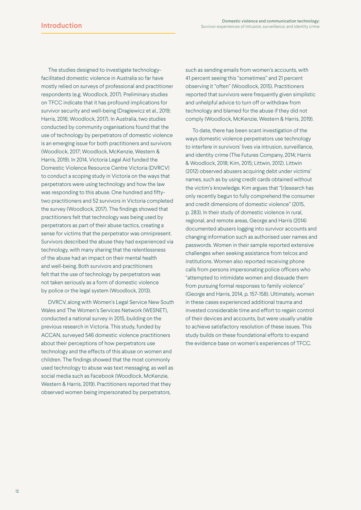The studies designed to investigate technologyfacilitated domestic violence in Australia so far have mostly relied on surveys of professional and practitioner respondents (e.g. Woodlock, 2017). Preliminary studies on TFCC indicate that it has profound implications for survivor security and well-being (Dragiewicz et al., 2019; Harris, 2016; Woodlock, 2017). In Australia, two studies conducted by community organisations found that the use of technology by perpetrators of domestic violence is an emerging issue for both practitioners and survivors (Woodlock, 2017; Woodlock, McKenzie, Western & Harris, 2019). In 2014, Victoria Legal Aid funded the Domestic Violence Resource Centre Victoria (DVRCV) to conduct a scoping study in Victoria on the ways that perpetrators were using technology and how the law was responding to this abuse. One hundred and fiftytwo practitioners and 52 survivors in Victoria completed the survey (Woodlock, 2017). The findings showed that practitioners felt that technology was being used by perpetrators as part of their abuse tactics, creating a sense for victims that the perpetrator was omnipresent. Survivors described the abuse they had experienced via technology, with many sharing that the relentlessness of the abuse had an impact on their mental health and well-being. Both survivors and practitioners felt that the use of technology by perpetrators was not taken seriously as a form of domestic violence by police or the legal system (Woodlock, 2013).

DVRCV, along with Women's Legal Service New South Wales and The Women's Services Network (WESNET), conducted a national survey in 2015, building on the previous research in Victoria. This study, funded by ACCAN, surveyed 546 domestic violence practitioners about their perceptions of how perpetrators use technology and the effects of this abuse on women and children. The findings showed that the most commonly used technology to abuse was text messaging, as well as social media such as Facebook (Woodlock, McKenzie, Western & Harris, 2019). Practitioners reported that they observed women being impersonated by perpetrators,

such as sending emails from women's accounts, with 41 percent seeing this "sometimes" and 21 percent observing it "often" (Woodlock, 2015). Practitioners reported that survivors were frequently given simplistic and unhelpful advice to turn off or withdraw from technology and blamed for the abuse if they did not comply (Woodlock, McKenzie, Western & Harris, 2019).

To date, there has been scant investigation of the ways domestic violence perpetrators use technology to interfere in survivors' lives via intrusion, surveillance, and identity crime (The Futures Company, 2014; Harris & Woodlock, 2018; Kim, 2015; Littwin, 2012). Littwin (2012) observed abusers acquiring debt under victims' names, such as by using credit cards obtained without the victim's knowledge. Kim argues that "[r]esearch has only recently begun to fully comprehend the consumer and credit dimensions of domestic violence" (2015, p. 283). In their study of domestic violence in rural, regional, and remote areas, George and Harris (2014) documented abusers logging into survivor accounts and changing information such as authorised user names and passwords. Women in their sample reported extensive challenges when seeking assistance from telcos and institutions. Women also reported receiving phone calls from persons impersonating police officers who "attempted to intimidate women and dissuade them from pursuing formal responses to family violence" (George and Harris, 2014, p. 157-158). Ultimately, women in these cases experienced additional trauma and invested considerable time and effort to regain control of their devices and accounts, but were usually unable to achieve satisfactory resolution of these issues. This study builds on these foundational efforts to expand the evidence base on women's experiences of TFCC.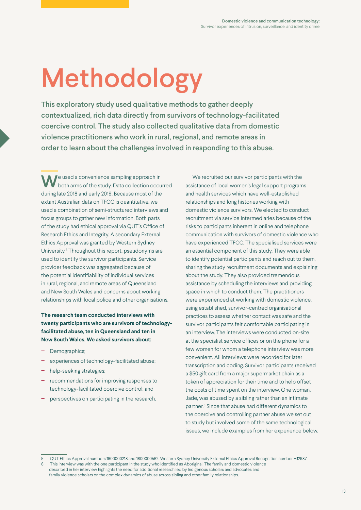# Methodology

This exploratory study used qualitative methods to gather deeply contextualized, rich data directly from survivors of technology-facilitated coercive control. The study also collected qualitative data from domestic violence practitioners who work in rural, regional, and remote areas in order to learn about the challenges involved in responding to this abuse.

We used a convenience sampling approach in both arms of the study. Data collection occurred during late 2018 and early 2019. Because most of the extant Australian data on TFCC is quantitative, we used a combination of semi-structured interviews and focus groups to gather new information. Both parts of the study had ethical approval via QUT's Office of Research Ethics and Integrity. A secondary External Ethics Approval was granted by Western Sydney University.5 Throughout this report, pseudonyms are used to identify the survivor participants. Service provider feedback was aggregated because of the potential identifiability of individual services in rural, regional, and remote areas of Queensland and New South Wales and concerns about working relationships with local police and other organisations.

#### **The research team conducted interviews with twenty participants who are survivors of technologyfacilitated abuse, ten in Queensland and ten in New South Wales. We asked survivors about:**

- **\_** Demographics;
- **\_** experiences of technology-facilitated abuse;
- **\_** help-seeking strategies;
- **\_** recommendations for improving responses to technology-facilitated coercive control; and
- **\_** perspectives on participating in the research.

We recruited our survivor participants with the assistance of local women's legal support programs and health services which have well-established relationships and long histories working with domestic violence survivors. We elected to conduct recruitment via service intermediaries because of the risks to participants inherent in online and telephone communication with survivors of domestic violence who have experienced TFCC. The specialised services were an essential component of this study. They were able to identify potential participants and reach out to them, sharing the study recruitment documents and explaining about the study. They also provided tremendous assistance by scheduling the interviews and providing space in which to conduct them. The practitioners were experienced at working with domestic violence, using established, survivor-centred organisational practices to assess whether contact was safe and the survivor participants felt comfortable participating in an interview. The interviews were conducted on-site at the specialist service offices or on the phone for a few women for whom a telephone interview was more convenient. All interviews were recorded for later transcription and coding. Survivor participants received a \$50 gift card from a major supermarket chain as a token of appreciation for their time and to help offset the costs of time spent on the interview. One woman, Jade, was abused by a sibling rather than an intimate partner.6 Since that abuse had different dynamics to the coercive and controlling partner abuse we set out to study but involved some of the same technological issues, we include examples from her experience below.

described in her interview highlights the need for additional research led by Indigenous scholars and advocates and

<sup>5</sup> QUT Ethics Approval numbers 1900000218 and 1800000562. Western Sydney University External Ethics Approval Recognition number H12987.

<sup>6</sup> This interview was with the one participant in the study who identified as Aboriginal. The family and domestic violence

family violence scholars on the complex dynamics of abuse across sibling and other family relationships.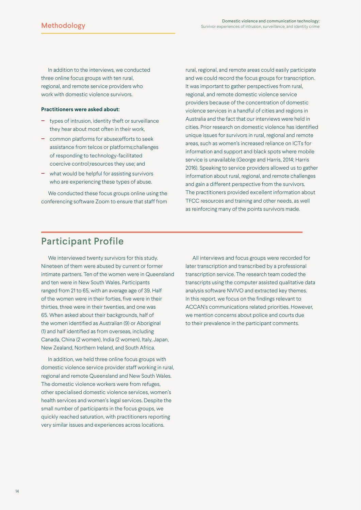In addition to the interviews, we conducted three online focus groups with ten rural, regional, and remote service providers who work with domestic violence survivors.

#### **Practitioners were asked about:**

- **\_** types of intrusion, identity theft or surveillance they hear about most often in their work,
- **\_** common platforms for abuse;efforts to seek assistance from telcos or platforms;challenges of responding to technology-facilitated coercive control;resources they use; and
- **\_** what would be helpful for assisting survivors who are experiencing these types of abuse.

We conducted these focus groups online using the conferencing software Zoom to ensure that staff from rural, regional, and remote areas could easily participate and we could record the focus groups for transcription. It was important to gather perspectives from rural, regional, and remote domestic violence service providers because of the concentration of domestic violence services in a handful of cities and regions in Australia and the fact that our interviews were held in cities. Prior research on domestic violence has identified unique issues for survivors in rural, regional and remote areas, such as women's increased reliance on ICTs for information and support and black spots where mobile service is unavailable (George and Harris, 2014; Harris 2016). Speaking to service providers allowed us to gather information about rural, regional, and remote challenges and gain a different perspective from the survivors. The practitioners provided excellent information about TFCC resources and training and other needs, as well as reinforcing many of the points survivors made.

### Participant Profile

We interviewed twenty survivors for this study. Nineteen of them were abused by current or former intimate partners. Ten of the women were in Queensland and ten were in New South Wales. Participants ranged from 21 to 65, with an average age of 39. Half of the women were in their forties, five were in their thirties, three were in their twenties, and one was 65. When asked about their backgrounds, half of the women identified as Australian (9) or Aboriginal (1) and half identified as from overseas, including Canada, China (2 women), India (2 women), Italy, Japan, New Zealand, Northern Ireland, and South Africa.

In addition, we held three online focus groups with domestic violence service provider staff working in rural, regional and remote Queensland and New South Wales. The domestic violence workers were from refuges, other specialised domestic violence services, women's health services and women's legal services. Despite the small number of participants in the focus groups, we quickly reached saturation, with practitioners reporting very similar issues and experiences across locations.

All interviews and focus groups were recorded for later transcription and transcribed by a professional transcription service. The research team coded the transcripts using the computer assisted qualitative data analysis software NVIVO and extracted key themes. In this report, we focus on the findings relevant to ACCAN's communications related priorities. However, we mention concerns about police and courts due to their prevalence in the participant comments.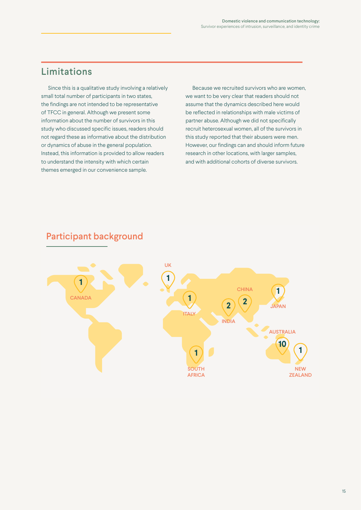### Limitations

Since this is a qualitative study involving a relatively small total number of participants in two states, the findings are not intended to be representative of TFCC in general. Although we present some information about the number of survivors in this study who discussed specific issues, readers should not regard these as informative about the distribution or dynamics of abuse in the general population. Instead, this information is provided to allow readers to understand the intensity with which certain themes emerged in our convenience sample.

Because we recruited survivors who are women, we want to be very clear that readers should not assume that the dynamics described here would be reflected in relationships with male victims of partner abuse. Although we did not specifically recruit heterosexual women, all of the survivors in this study reported that their abusers were men. However, our findings can and should inform future research in other locations, with larger samples, and with additional cohorts of diverse survivors.

### Participant background

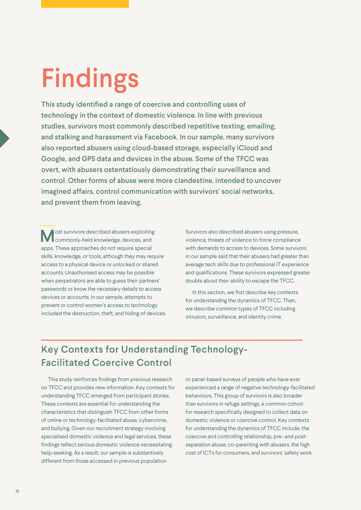## Findings

This study identified a range of coercive and controlling uses of technology in the context of domestic violence. In line with previous studies, survivors most commonly described repetitive texting, emailing, and stalking and harassment via Facebook. In our sample, many survivors also reported abusers using cloud-based storage, especially iCloud and Google, and GPS data and devices in the abuse. Some of the TFCC was overt, with abusers ostentatiously demonstrating their surveillance and control. Other forms of abuse were more clandestine, intended to uncover imagined affairs, control communication with survivors' social networks, and prevent them from leaving.

**M** ost survivors described abusers exploiting<br>commonly-held knowledge, devices, and apps. These approaches do not require special skills, knowledge, or tools, although they may require access to a physical device or unlocked or shared accounts. Unauthorised access may be possible when perpetrators are able to guess their partners' passwords or know the necessary details to access devices or accounts. In our sample, attempts to prevent or control women's access to technology included the destruction, theft, and hiding of devices.

Survivors also described abusers using pressure, violence, threats of violence to force compliance with demands to access to devices. Some survivors in our sample said that their abusers had greater than average tech skills due to professional IT experience and qualifications. These survivors expressed greater doubts about their ability to escape the TFCC.

In this section, we first describe key contexts for understanding the dynamics of TFCC. Then, we describe common types of TFCC including intrusion, surveillance, and identity crime.

## Key Contexts for Understanding Technology-Facilitated Coercive Control

This study reinforces findings from previous research on TFCC and provides new information. Key contexts for understanding TFCC emerged from participant stories. These contexts are essential for understanding the characteristics that distinguish TFCC from other forms of online or technology-facilitated abuse, cybercrime, and bullying. Given our recruitment strategy involving specialised domestic violence and legal services, these findings reflect serious domestic violence necessitating help-seeking. As a result, our sample is substantively different from those accessed in previous population

or panel-based surveys of people who have ever experienced a range of negative technology-facilitated behaviours. This group of survivors is also broader than survivors in refuge settings, a common cohort for research specifically designed to collect data on domestic violence or coercive control. Key contexts for understanding the dynamics of TFCC include: the coercive and controlling relationship, pre- and postseparation abuse, co-parenting with abusers, the high cost of ICTs for consumers, and survivors' safety work.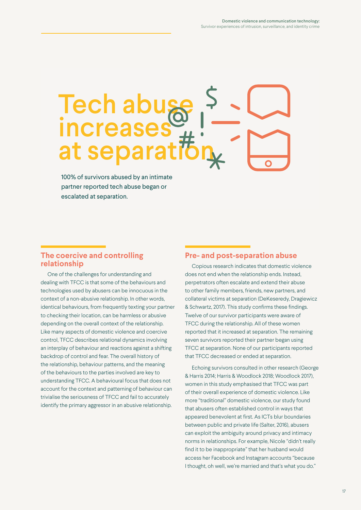## Tech abuse increases at sepa

100% of survivors abused by an intimate partner reported tech abuse began or escalated at separation.

#### **The coercive and controlling relationship**

One of the challenges for understanding and dealing with TFCC is that some of the behaviours and technologies used by abusers can be innocuous in the context of a non-abusive relationship. In other words, identical behaviours, from frequently texting your partner to checking their location, can be harmless or abusive depending on the overall context of the relationship. Like many aspects of domestic violence and coercive control, TFCC describes relational dynamics involving an interplay of behaviour and reactions against a shifting backdrop of control and fear. The overall history of the relationship, behaviour patterns, and the meaning of the behaviours to the parties involved are key to understanding TFCC. A behavioural focus that does not account for the context and patterning of behaviour can trivialise the seriousness of TFCC and fail to accurately identify the primary aggressor in an abusive relationship.

#### **Pre- and post-separation abuse**

Copious research indicates that domestic violence does not end when the relationship ends. Instead, perpetrators often escalate and extend their abuse to other family members, friends, new partners, and collateral victims at separation (DeKeseredy, Dragiewicz & Schwartz, 2017). This study confirms these findings. Twelve of our survivor participants were aware of TFCC during the relationship. All of these women reported that it increased at separation. The remaining seven survivors reported their partner began using TFCC at separation. None of our participants reported that TFCC decreased or ended at separation.

Echoing survivors consulted in other research (George & Harris 2014; Harris & Woodlock 2018; Woodlock 2017), women in this study emphasised that TFCC was part of their overall experience of domestic violence. Like more "traditional" domestic violence, our study found that abusers often established control in ways that appeared benevolent at first. As ICTs blur boundaries between public and private life (Salter, 2016), abusers can exploit the ambiguity around privacy and intimacy norms in relationships. For example, Nicole "didn't really find it to be inappropriate" that her husband would access her Facebook and Instagram accounts "because I thought, oh well, we're married and that's what you do."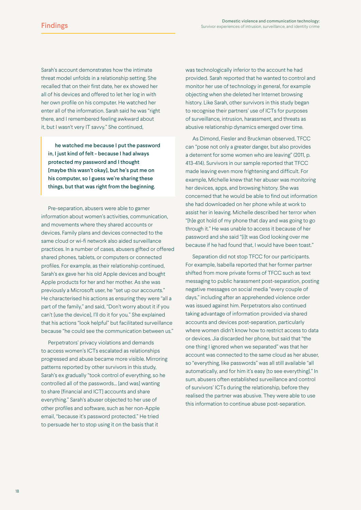Sarah's account demonstrates how the intimate threat model unfolds in a relationship setting. She recalled that on their first date, her ex showed her all of his devices and offered to let her log in with her own profile on his computer. He watched her enter all of the information. Sarah said he was "right there, and I remembered feeling awkward about it, but I wasn't very IT savvy." She continued,

he watched me because I put the password in, I just kind of felt - because I had always protected my password and I thought [maybe this wasn't okay], but he's put me on his computer, so I guess we're sharing these things, but that was right from the beginning.

Pre-separation, abusers were able to garner information about women's activities, communication, and movements where they shared accounts or devices. Family plans and devices connected to the same cloud or wi-fi network also aided surveillance practices. In a number of cases, abusers gifted or offered shared phones, tablets, or computers or connected profiles. For example, as their relationship continued, Sarah's ex gave her his old Apple devices and bought Apple products for her and her mother. As she was previously a Microsoft user, he "set up our accounts." He characterised his actions as ensuring they were "all a part of the family," and said, "Don't worry about it if you can't [use the device], I'll do it for you." She explained that his actions "look helpful" but facilitated surveillance because "he could see the communication between us."

Perpetrators' privacy violations and demands to access women's ICTs escalated as relationships progressed and abuse became more visible. Mirroring patterns reported by other survivors in this study, Sarah's ex gradually "took control of everything, so he controlled all of the passwords... [and was] wanting to share [financial and ICT] accounts and share everything." Sarah's abuser objected to her use of other profiles and software, such as her non-Apple email, "because it's password protected." He tried to persuade her to stop using it on the basis that it

was technologically inferior to the account he had provided. Sarah reported that he wanted to control and monitor her use of technology in general, for example objecting when she deleted her Internet browsing history. Like Sarah, other survivors in this study began to recognise their partners' use of ICTs for purposes of surveillance, intrusion, harassment, and threats as abusive relationship dynamics emerged over time.

As Dimond, Fiesler and Bruckman observed, TFCC can "pose not only a greater danger, but also provides a deterrent for some women who are leaving" (2011, p. 413-414). Survivors in our sample reported that TFCC made leaving even more frightening and difficult. For example, Michelle knew that her abuser was monitoring her devices, apps, and browsing history. She was concerned that he would be able to find out information she had downloaded on her phone while at work to assist her in leaving. Michelle described her terror when "[h]e got hold of my phone that day and was going to go through it." He was unable to access it because of her password and she said "[i]t was God looking over me because if he had found that, I would have been toast."

Separation did not stop TFCC for our participants. For example, Isabella reported that her former partner shifted from more private forms of TFCC such as text messaging to public harassment post-separation, posting negative messages on social media "every couple of days," including after an apprehended violence order was issued against him. Perpetrators also continued taking advantage of information provided via shared accounts and devices post-separation, particularly where women didn't know how to restrict access to data or devices. Jia discarded her phone, but said that "the one thing I ignored when we separated" was that her account was connected to the same cloud as her abuser, so "everything, like passwords" was all still available "all automatically, and for him it's easy [to see everything]." In sum, abusers often established surveillance and control of survivors' ICTs during the relationship, before they realised the partner was abusive. They were able to use this information to continue abuse post-separation.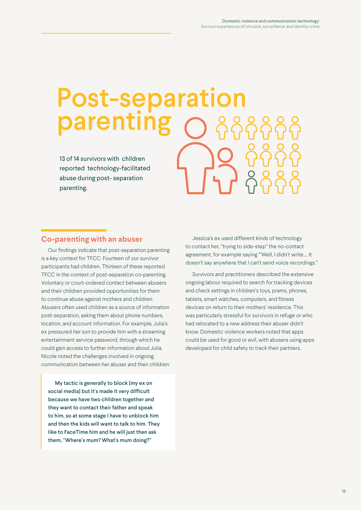## Post-separation arenting

13 of 14 survivors with children reported technology-facilitated abuse during post- separation parenting.

#### **Co-parenting with an abuser**

Our findings indicate that post-separation parenting is a key context for TFCC. Fourteen of our survivor participants had children. Thirteen of these reported TFCC in the context of post-separation co-parenting. Voluntary or court-ordered contact between abusers and their children provided opportunities for them to continue abuse against mothers and children. Abusers often used children as a source of information post-separation, asking them about phone numbers, location, and account information. For example, Julia's ex pressured her son to provide him with a streaming entertainment service password, through which he could gain access to further information about Julia. Nicole noted the challenges involved in ongoing communication between her abuser and their children:

My tactic is generally to block [my ex on social media] but it's made it very difficult because we have two children together and they want to contact their father and speak to him, so at some stage I have to unblock him and then the kids will want to talk to him. They like to FaceTime him and he will just then ask them, "Where's mum? What's mum doing?"

Jessica's ex used different kinds of technology to contact her, "trying to side-step" the no-contact agreement, for example saying "'Well, I didn't write…. It doesn't say anywhere that I can't send voice recordings."

Survivors and practitioners described the extensive ongoing labour required to search for tracking devices and check settings in children's toys, prams, phones, tablets, smart watches, computers, and fitness devices on return to their mothers' residence. This was particularly stressful for survivors in refuge or who had relocated to a new address their abuser didn't know. Domestic violence workers noted that apps could be used for good or evil, with abusers using apps developed for child safety to track their partners.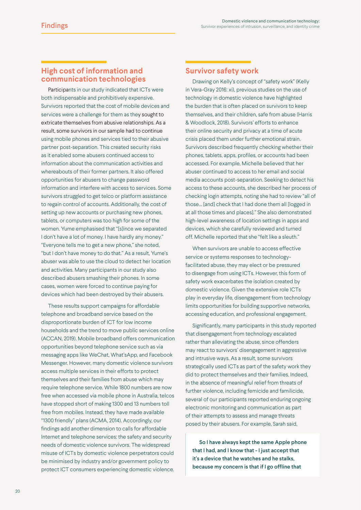#### **High cost of information and communication technologies**

Participants in our study indicated that ICTs were both indispensable and prohibitively expensive. Survivors reported that the cost of mobile devices and services were a challenge for them as they sought to extricate themselves from abusive relationships. As a result, some survivors in our sample had to continue using mobile phones and services tied to their abusive partner post-separation. This created security risks as it enabled some abusers continued access to information about the communication activities and whereabouts of their former partners. It also offered opportunities for abusers to change password information and interfere with access to services. Some survivors struggled to get telco or platform assistance to regain control of accounts. Additionally, the cost of setting up new accounts or purchasing new phones, tablets, or computers was too high for some of the women. Yume emphasised that "[s]ince we separated I don't have a lot of money. I have hardly any money." "Everyone tells me to get a new phone," she noted, "but I don't have money to do that." As a result, Yume's abuser was able to use the cloud to detect her location and activities. Many participants in our study also described abusers smashing their phones. In some cases, women were forced to continue paying for devices which had been destroyed by their abusers.

These results support campaigns for affordable telephone and broadband service based on the disproportionate burden of ICT for low income households and the trend to move public services online (ACCAN, 2019). Mobile broadband offers communication opportunities beyond telephone service such as via messaging apps like WeChat, What'sApp, and Facebook Messenger. However, many domestic violence survivors access multiple services in their efforts to protect themselves and their families from abuse which may require telephone service. While 1800 numbers are now free when accessed via mobile phone in Australia, telcos have stopped short of making 1300 and 13 numbers toll free from mobiles. Instead, they have made available "1300 friendly" plans (ACMA, 2014). Accordingly, our findings add another dimension to calls for affordable Internet and telephone services: the safety and security needs of domestic violence survivors. The widespread misuse of ICTs by domestic violence perpetrators could be minimised by industry and/or government policy to protect ICT consumers experiencing domestic violence.

#### **Survivor safety work**

Drawing on Kelly's concept of "safety work" (Kelly in Vera-Gray 2016: xi), previous studies on the use of technology in domestic violence have highlighted the burden that is often placed on survivors to keep themselves, and their children, safe from abuse (Harris & Woodlock, 2018). Survivors' efforts to enhance their online security and privacy at a time of acute crisis placed them under further emotional strain. Survivors described frequently checking whether their phones, tablets, apps, profiles, or accounts had been accessed. For example, Michelle believed that her abuser continued to access to her email and social media accounts post-separation. Seeking to detect his access to these accounts, she described her process of checking login attempts, noting she had to review "all of those… [and] check that I had done them all [logged in at all those times and places]." She also demonstrated high-level awareness of location settings in apps and devices, which she carefully reviewed and turned off. Michelle reported that she "felt like a sleuth."

When survivors are unable to access effective service or systems responses to technologyfacilitated abuse, they may elect or be pressured to disengage from using ICTs. However, this form of safety work exacerbates the isolation created by domestic violence. Given the extensive role ICTs play in everyday life, disengagement from technology limits opportunities for building supportive networks, accessing education, and professional engagement.

Significantly, many participants in this study reported that disengagement from technology escalated rather than alleviating the abuse, since offenders may react to survivors' disengagement in aggressive and intrusive ways. As a result, some survivors strategically used ICTs as part of the safety work they did to protect themselves and their families. Indeed, in the absence of meaningful relief from threats of further violence, including femicide and familicide, several of our participants reported enduring ongoing electronic monitoring and communication as part of their attempts to assess and manage threats posed by their abusers. For example, Sarah said,

So I have always kept the same Apple phone that I had, and I know that - I just accept that it's a device that he watches and he stalks, because my concern is that if I go offline that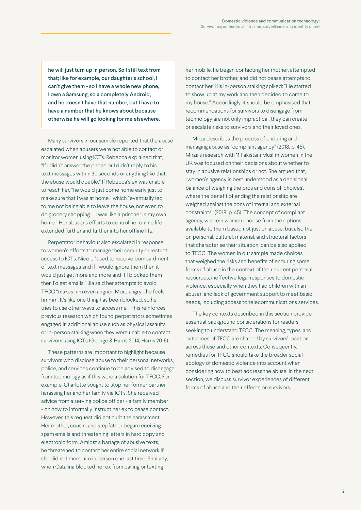he will just turn up in person. So I still text from that; like for example, our daughter's school, I can't give them - so I have a whole new phone, I own a Samsung, so a completely Android, and he doesn't have that number, but I have to have a number that he knows about because otherwise he will go looking for me elsewhere.

Many survivors in our sample reported that the abuse escalated when abusers were not able to contact or monitor women using ICTs. Rebecca explained that. "If I didn't answer the phone or I didn't reply to his text messages within 30 seconds or anything like that, the abuse would double." If Rebecca's ex was unable to reach her, "he would just come home early just to make sure that I was at home," which "eventually led to me not being able to leave the house, not even to do grocery shopping … I was like a prisoner in my own home." Her abuser's efforts to control her online life extended further and further into her offline life.

Perpetrator behaviour also escalated in response to women's efforts to manage their security or restrict access to ICTs. Nicole "used to receive bombardment of text messages and if I would ignore them then it would just get more and more and if I blocked them then I'd get emails." Jia said her attempts to avoid TFCC "makes him even angrier. More angry… he feels, hmmm. It's like one thing has been blocked, so he tries to use other ways to access me." This reinforces previous research which found perpetrators sometimes engaged in additional abuse such as physical assaults or in-person stalking when they were unable to contact survivors using ICTs (George & Harris 2014; Harris 2016).

These patterns are important to highlight because survivors who disclose abuse to their personal networks, police, and services continue to be advised to disengage from technology as if this were a solution for TFCC. For example, Charlotte sought to stop her former partner harassing her and her family via ICTs. She received advice from a serving police officer - a family member - on how to informally instruct her ex to cease contact. However, this request did not curb the harassment. Her mother, cousin, and stepfather began receiving spam emails and threatening letters in hard copy and electronic form. Amidst a barrage of abusive texts, he threatened to contact her entire social network if she did not meet him in person one last time. Similarly, when Catalina blocked her ex from calling or texting

her mobile, he began contacting her mother, attempted to contact her brother, and did not cease attempts to contact her. His in-person stalking spiked: "He started to show up at my work and then decided to come to my house." Accordingly, it should be emphasised that recommendations for survivors to disengage from technology are not only impractical, they can create or escalate risks to survivors and their loved ones.

Mirza describes the process of enduring and managing abuse as "compliant agency" (2018, p. 45). Mirza's research with 11 Pakistani Muslim women in the UK was focused on their decisions about whether to stay in abusive relationships or not. She argued that, "women's agency is best understood as a decisional balance of weighing the pros and cons of 'choices', where the benefit of ending the relationship are weighed against the cons of internal and external constraints" (2018, p. 45). The concept of compliant agency, wherein women choose from the options available to them based not just on abuse, but also the on personal, cultural, material, and structural factors that characterise their situation, can be also applied to TFCC. The women in our sample made choices that weighed the risks and benefits of enduring some forms of abuse in the context of their current personal resources; ineffective legal responses to domestic violence, especially when they had children with an abuser; and lack of government support to meet basic needs, including access to telecommunications services.

The key contexts described in this section provide essential background considerations for readers seeking to understand TFCC. The meaning, types, and outcomes of TFCC are shaped by survivors' location across these and other contexts. Consequently, remedies for TFCC should take the broader social ecology of domestic violence into account when considering how to best address the abuse. In the next section, we discuss survivor experiences of different forms of abuse and their effects on survivors.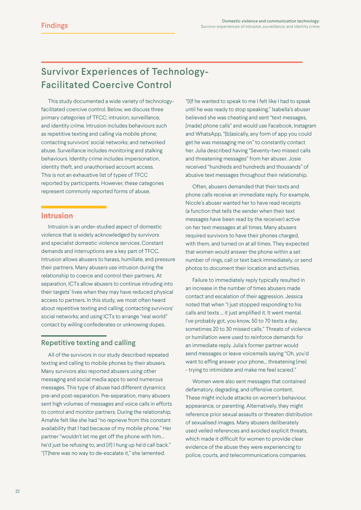## Survivor Experiences of Technology-Facilitated Coercive Control

This study documented a wide variety of technologyfacilitated coercive control. Below, we discuss three primary categories of TFCC: intrusion, surveillance, and identity crime. Intrusion includes behaviours such as repetitive texting and calling via mobile phone; contacting survivors' social networks; and networked abuse. Surveillance includes monitoring and stalking behaviours. Identity crime includes impersonation, identity theft, and unauthorised account access. This is not an exhaustive list of types of TFCC reported by participants. However, these categories represent commonly reported forms of abuse.

#### **Intrusion**

Intrusion is an under-studied aspect of domestic violence that is widely acknowledged by survivors and specialist domestic violence services. Constant demands and interruptions are a key part of TFCC. Intrusion allows abusers to harass, humiliate, and pressure their partners. Many abusers use intrusion during the relationship to coerce and control their partners. At separation, ICTs allow abusers to continue intruding into their targets' lives when they may have reduced physical access to partners. In this study, we most often heard about repetitive texting and calling; contacting survivors' social networks; and using ICTs to arrange "real world" contact by willing confederates or unknowing dupes.

#### Repetitive texting and calling

All of the survivors in our study described repeated texting and calling to mobile phones by their abusers. Many survivors also reported abusers using other messaging and social media apps to send numerous messages. This type of abuse had different dynamics pre-and post-separation. Pre-separation, many abusers sent high volumes of messages and voice calls in efforts to control and monitor partners. During the relationship, Amahle felt like she had "no reprieve from this constant availability that I had because of my mobile phone." Her partner "wouldn't let me get off the phone with him… he'd just be refusing to, and [if] I hung up he'd call back." "[T]here was no way to de-escalate it," she lamented.

"[I]f he wanted to speak to me I felt like I had to speak until he was ready to stop speaking." Isabella's abuser believed she was cheating and sent "text messages, [made] phone calls" and would use Facebook, Instagram and WhatsApp, "[b]asically, any form of app you could get he was messaging me on" to constantly contact her. Julia described having "Seventy-two missed calls and threatening messages" from her abuser. Josie received "hundreds and hundreds and thousands" of abusive text messages throughout their relationship.

Often, abusers demanded that their texts and phone calls receive an immediate reply. For example, Nicole's abuser wanted her to have read receipts (a function that tells the sender when their text messages have been read by the receiver) active on her text messages at all times. Many abusers required survivors to have their phones charged, with them, and turned on at all times. They expected that women would answer the phone within a set number of rings, call or text back immediately, or send photos to document their location and activities.

Failure to immediately reply typically resulted in an increase in the number of times abusers made contact and escalation of their aggression. Jessica noted that when "I just stopped responding to his calls and texts … it just amplified it. It went mental. I've probably got, you know, 50 to 70 texts a day, sometimes 20 to 30 missed calls." Threats of violence or humiliation were used to reinforce demands for an immediate reply. Julia's former partner would send messages or leave voicemails saying "Oh, you'd want to effing answer your phone… threatening [me] - trying to intimidate and make me feel scared."

Women were also sent messages that contained defamatory, degrading, and offensive content. These might include attacks on women's behaviour, appearance, or parenting. Alternatively, they might reference prior sexual assaults or threaten distribution of sexualised images. Many abusers deliberately used veiled references and avoided explicit threats, which made it difficult for women to provide clear evidence of the abuse they were experiencing to police, courts, and telecommunications companies.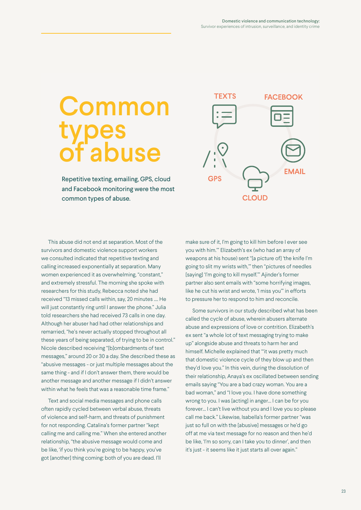## Common types of abuse

Repetitive texting, emailing, GPS, cloud and Facebook monitoring were the most common types of abuse.



This abuse did not end at separation. Most of the survivors and domestic violence support workers we consulted indicated that repetitive texting and calling increased exponentially at separation. Many women experienced it as overwhelming, "constant," and extremely stressful. The morning she spoke with researchers for this study, Rebecca noted she had received "13 missed calls within, say, 20 minutes …. He will just constantly ring until I answer the phone." Julia told researchers she had received 73 calls in one day. Although her abuser had had other relationships and remarried, "he's never actually stopped throughout all these years of being separated, of trying to be in control." Nicole described receiving "[b]ombardments of text messages," around 20 or 30 a day. She described these as "abusive messages - or just multiple messages about the same thing - and if I don't answer them, there would be another message and another message if I didn't answer within what he feels that was a reasonable time frame."

Text and social media messages and phone calls often rapidly cycled between verbal abuse, threats of violence and self-harm, and threats of punishment for not responding. Catalina's former partner "kept calling me and calling me." When she entered another relationship, "the abusive message would come and be like, 'if you think you're going to be happy, you've got [another] thing coming; both of you are dead. I'll

make sure of it, I'm going to kill him before I ever see you with him.'" Elizabeth's ex (who had an array of weapons at his house) sent "[a picture of] 'the knife I'm going to slit my wrists with,'" then "pictures of needles [saying] 'I'm going to kill myself.'" Ajinder's former partner also sent emails with "some horrifying images, like he cut his wrist and wrote, 'I miss you'" in efforts to pressure her to respond to him and reconcile.

Some survivors in our study described what has been called the cycle of abuse, wherein abusers alternate abuse and expressions of love or contrition. Elizabeth's ex sent "a whole lot of text messaging trying to make up" alongside abuse and threats to harm her and himself. Michelle explained that "'it was pretty much that domestic violence cycle of they blow up and then they'd love you." In this vein, during the dissolution of their relationship, Anaya's ex oscillated between sending emails saying "You are a bad crazy woman. You are a bad woman," and "I love you. I have done something wrong to you. I was [acting] in anger… I can be for you forever… I can't live without you and I love you so please call me back." Likewise, Isabella's former partner "was just so full on with the [abusive] messages or he'd go off at me via text message for no reason and then he'd be like, 'I'm so sorry, can I take you to dinner', and then it's just - it seems like it just starts all over again."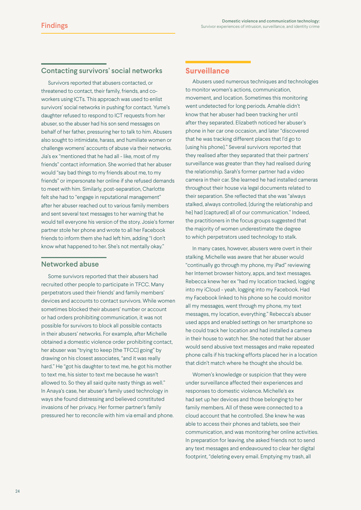#### Contacting survivors' social networks

Survivors reported that abusers contacted, or threatened to contact, their family, friends, and coworkers using ICTs. This approach was used to enlist survivors' social networks in pushing for contact. Yume's daughter refused to respond to ICT requests from her abuser, so the abuser had his son send messages on behalf of her father, pressuring her to talk to him. Abusers also sought to intimidate, harass, and humiliate women or challenge womens' accounts of abuse via their networks. Jia's ex "mentioned that he had all - like, most of my friends" contact information. She worried that her abuser would "say bad things to my friends about me, to my friends" or impersonate her online if she refused demands to meet with him. Similarly, post-separation, Charlotte felt she had to "engage in reputational management" after her abuser reached out to various family members and sent several text messages to her warning that he would tell everyone his version of the story. Josie's former partner stole her phone and wrote to all her Facebook friends to inform them she had left him, adding "I don't know what happened to her. She's not mentally okay."

#### Networked abuse

Some survivors reported that their abusers had recruited other people to participate in TFCC. Many perpetrators used their friends' and family members' devices and accounts to contact survivors. While women sometimes blocked their abusers' number or account or had orders prohibiting communication, it was not possible for survivors to block all possible contacts in their abusers' networks. For example, after Michelle obtained a domestic violence order prohibiting contact, her abuser was "trying to keep [the TFCC] going" by drawing on his closest associates, "and it was really hard." He "got his daughter to text me, he got his mother to text me, his sister to text me because he wasn't allowed to. So they all said quite nasty things as well." In Anaya's case, her abuser's family used technology in ways she found distressing and believed constituted invasions of her privacy. Her former partner's family pressured her to reconcile with him via email and phone.

#### **Surveillance**

Abusers used numerous techniques and technologies to monitor women's actions, communication, movement, and location. Sometimes this monitoring went undetected for long periods. Amahle didn't know that her abuser had been tracking her until after they separated. Elizabeth noticed her abuser's phone in her car one occasion, and later "discovered that he was tracking different places that I'd go to [using his phone]." Several survivors reported that they realised after they separated that their partners' surveillance was greater than they had realised during the relationship. Sarah's former partner had a video camera in their car. She learned he had installed cameras throughout their house via legal documents related to their separation. She reflected that she was "always stalked, always controlled, [during the relationship and he] had [captured] all of our communication." Indeed, the practitioners in the focus groups suggested that the majority of women underestimate the degree to which perpetrators used technology to stalk.

In many cases, however, abusers were overt in their stalking. Michelle was aware that her abuser would "continually go through my phone, my iPad" reviewing her Internet browser history, apps, and text messages. Rebecca knew her ex "had my location tracked, logging into my iCloud - yeah, logging into my Facebook. Had my Facebook linked to his phone so he could monitor all my messages, went through my phone, my text messages, my location, everything." Rebecca's abuser used apps and enabled settings on her smartphone so he could track her location and had installed a camera in their house to watch her. She noted that her abuser would send abusive text messages and make repeated phone calls if his tracking efforts placed her in a location that didn't match where he thought she should be.

Women's knowledge or suspicion that they were under surveillance affected their experiences and responses to domestic violence. Michelle's ex had set up her devices and those belonging to her family members. All of these were connected to a cloud account that he controlled. She knew he was able to access their phones and tablets, see their communication, and was monitoring her online activities. In preparation for leaving, she asked friends not to send any text messages and endeavoured to clear her digital footprint, "deleting every email. Emptying my trash, all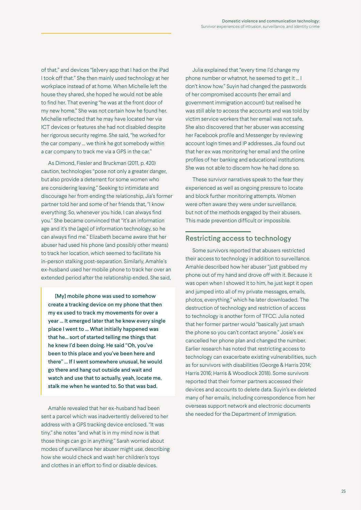of that," and devices "[e]very app that I had on the iPad I took off that." She then mainly used technology at her workplace instead of at home. When Michelle left the house they shared, she hoped he would not be able to find her. That evening "he was at the front door of my new home." She was not certain how he found her. Michelle reflected that he may have located her via ICT devices or features she had not disabled despite her rigorous security regime. She said, "he worked for the car company … we think he got somebody within a car company to track me via a GPS in the car."

As Dimond, Fiesler and Bruckman (2011, p. 420) caution, technologies "pose not only a greater danger, but also provide a deterrent for some women who are considering leaving." Seeking to intimidate and discourage her from ending the relationship, Jia's former partner told her and some of her friends that, "I know everything. So, whenever you hide, I can always find you." She became convinced that "it's an information age and it's the [age] of information technology, so he can always find me." Elizabeth became aware that her abuser had used his phone (and possibly other means) to track her location, which seemed to facilitate his in-person stalking post-separation. Similarly, Amahle's ex-husband used her mobile phone to track her over an extended period after the relationship ended. She said,

[My] mobile phone was used to somehow create a tracking device on my phone that then my ex used to track my movements for over a year … It emerged later that he knew every single place I went to … What initially happened was that he... sort of started telling me things that he knew I'd been doing. He said "Oh, you've been to this place and you've been here and there" ... If I went somewhere unusual, he would go there and hang out outside and wait and watch and use that to actually, yeah, locate me, stalk me when he wanted to. So that was bad.

Amahle revealed that her ex-husband had been sent a parcel which was inadvertently delivered to her address with a GPS tracking device enclosed. "It was tiny," she notes "and what is in my mind now is that those things can go in anything." Sarah worried about modes of surveillance her abuser might use, describing how she would check and wash her children's toys and clothes in an effort to find or disable devices.

Julia explained that "every time I'd change my phone number or whatnot, he seemed to get it … I don't know how." Suyin had changed the passwords of her compromised accounts (her email and government immigration account) but realised he was still able to access the accounts and was told by victim service workers that her email was not safe. She also discovered that her abuser was accessing her Facebook profile and Messenger by reviewing account login times and IP addresses. Jia found out that her ex was monitoring her email and the online profiles of her banking and educational institutions. She was not able to discern how he had done so.

These survivor narratives speak to the fear they experienced as well as ongoing pressure to locate and block further monitoring attempts. Women were often aware they were under surveillance, but not of the methods engaged by their abusers. This made prevention difficult or impossible.

#### Restricting access to technology

Some survivors reported that abusers restricted their access to technology in addition to surveillance. Amahle described how her abuser "just grabbed my phone out of my hand and drove off with it. Because it was open when I showed it to him, he just kept it open and jumped into all of my private messages, emails, photos, everything," which he later downloaded. The destruction of technology and restriction of access to technology is another form of TFCC. Julia noted that her former partner would "basically just smash the phone so you can't contact anyone." Josie's ex cancelled her phone plan and changed the number. Earlier research has noted that restricting access to technology can exacerbate existing vulnerabilities, such as for survivors with disabilities (George & Harris 2014; Harris 2016; Harris & Woodlock 2018). Some survivors reported that their former partners accessed their devices and accounts to delete data. Suyin's ex deleted many of her emails, including correspondence from her overseas support network and electronic documents she needed for the Department of Immigration.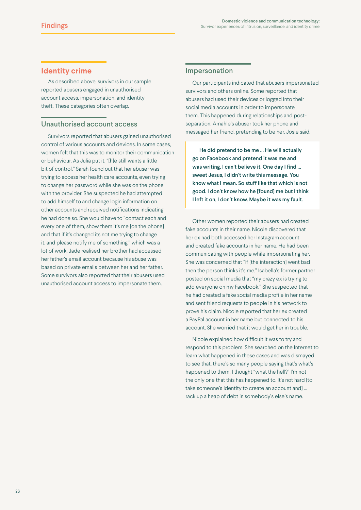#### **Identity crime**

As described above, survivors in our sample reported abusers engaged in unauthorised account access, impersonation, and identity theft. These categories often overlap.

#### Unauthorised account access

Survivors reported that abusers gained unauthorised control of various accounts and devices. In some cases, women felt that this was to monitor their communication or behaviour. As Julia put it, "[h]e still wants a little bit of control." Sarah found out that her abuser was trying to access her health care accounts, even trying to change her password while she was on the phone with the provider. She suspected he had attempted to add himself to and change login information on other accounts and received notifications indicating he had done so. She would have to "contact each and every one of them, show them it's me [on the phone] and that if it's changed its not me trying to change it, and please notify me of something," which was a lot of work. Jade realised her brother had accessed her father's email account because his abuse was based on private emails between her and her father. Some survivors also reported that their abusers used unauthorised account access to impersonate them.

#### Impersonation

Our participants indicated that abusers impersonated survivors and others online. Some reported that abusers had used their devices or logged into their social media accounts in order to impersonate them. This happened during relationships and postseparation. Amahle's abuser took her phone and messaged her friend, pretending to be her. Josie said,

He did pretend to be me … He will actually go on Facebook and pretend it was me and was writing. I can't believe it. One day I find ... sweet Jesus, I didn't write this message. You know what I mean. So stuff like that which is not good. I don't know how he [found] me but I think I left it on, I don't know. Maybe it was my fault.

Other women reported their abusers had created fake accounts in their name. Nicole discovered that her ex had both accessed her Instagram account and created fake accounts in her name. He had been communicating with people while impersonating her. She was concerned that "if [the interaction] went bad then the person thinks it's me." Isabella's former partner posted on social media that "my crazy ex is trying to add everyone on my Facebook." She suspected that he had created a fake social media profile in her name and sent friend requests to people in his network to prove his claim. Nicole reported that her ex created a PayPal account in her name but connected to his account. She worried that it would get her in trouble.

Nicole explained how difficult it was to try and respond to this problem. She searched on the Internet to learn what happened in these cases and was dismayed to see that, there's so many people saying that's what's happened to them. I thought "what the hell?" I'm not the only one that this has happened to. It's not hard [to take someone's identity to create an account and] … rack up a heap of debt in somebody's else's name.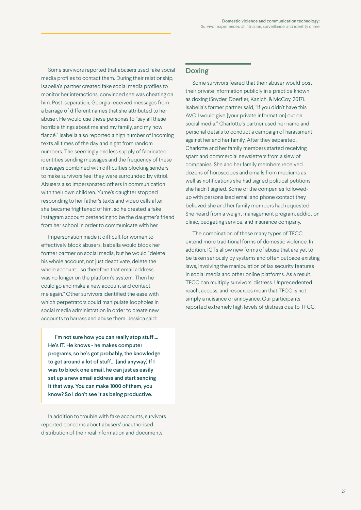Some survivors reported that abusers used fake social media profiles to contact them. During their relationship, Isabella's partner created fake social media profiles to monitor her interactions, convinced she was cheating on him. Post-separation, Georgia received messages from a barrage of different names that she attributed to her abuser. He would use these personas to "say all these horrible things about me and my family, and my now fiancé." Isabella also reported a high number of incoming texts all times of the day and night from random numbers. The seemingly endless supply of fabricated identities sending messages and the frequency of these messages combined with difficulties blocking senders to make survivors feel they were surrounded by vitriol. Abusers also impersonated others in communication with their own children. Yume's daughter stopped responding to her father's texts and video calls after she became frightened of him, so he created a fake Instagram account pretending to be the daughter's friend from her school in order to communicate with her.

Impersonation made it difficult for women to effectively block abusers. Isabella would block her former partner on social media, but he would "delete his whole account, not just deactivate, delete the whole account… so therefore that email address was no longer on the platform's system. Then he could go and make a new account and contact me again." Other survivors identified the ease with which perpetrators could manipulate loopholes in social media administration in order to create new accounts to harrass and abuse them. Jessica said:

I'm not sure how you can really stop stuff.... He's IT. He knows - he makes computer programs, so he's got probably, the knowledge to get around a lot of stuff… [and anyway] If I was to block one email, he can just as easily set up a new email address and start sending it that way. You can make 1000 of them, you know? So I don't see it as being productive.

In addition to trouble with fake accounts, survivors reported concerns about abusers' unauthorised distribution of their real information and documents.

#### Doxing

Some survivors feared that their abuser would post their private information publicly in a practice known as doxing (Snyder, Doerfler, Kanich, & McCoy, 2017). Isabella's former partner said, "if you didn't have this AVO I would give [your private information] out on social media." Charlotte's partner used her name and personal details to conduct a campaign of harassment against her and her family. After they separated, Charlotte and her family members started receiving spam and commercial newsletters from a slew of companies. She and her family members received dozens of horoscopes and emails from mediums as well as notifications she had signed political petitions she hadn't signed. Some of the companies followedup with personalised email and phone contact they believed she and her family members had requested. She heard from a weight management program, addiction clinic, budgeting service, and insurance company.

The combination of these many types of TFCC extend more traditional forms of domestic violence. In addition, ICTs allow new forms of abuse that are yet to be taken seriously by systems and often outpace existing laws, involving the manipulation of lax security features in social media and other online platforms. As a result, TFCC can multiply survivors' distress. Unprecedented reach, access, and resources mean that TFCC is not simply a nuisance or annoyance. Our participants reported extremely high levels of distress due to TFCC.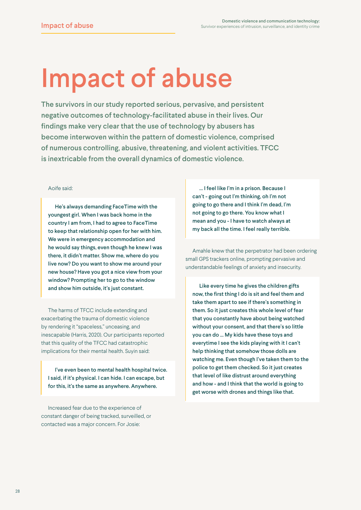## Impact of abuse

The survivors in our study reported serious, pervasive, and persistent negative outcomes of technology-facilitated abuse in their lives. Our findings make very clear that the use of technology by abusers has become interwoven within the pattern of domestic violence, comprised of numerous controlling, abusive, threatening, and violent activities. TFCC is inextricable from the overall dynamics of domestic violence.

#### Aoife said:

He's always demanding FaceTime with the youngest girl. When I was back home in the country I am from, I had to agree to FaceTime to keep that relationship open for her with him. We were in emergency accommodation and he would say things, even though he knew I was there, it didn't matter. Show me, where do you live now? Do you want to show me around your new house? Have you got a nice view from your window? Prompting her to go to the window and show him outside, it's just constant.

The harms of TFCC include extending and exacerbating the trauma of domestic violence by rendering it "spaceless," unceasing, and inescapable (Harris, 2020). Our participants reported that this quality of the TFCC had catastrophic implications for their mental health. Suyin said:

I've even been to mental health hospital twice. I said, if it's physical. I can hide. I can escape, but for this, it's the same as anywhere. Anywhere.

Increased fear due to the experience of constant danger of being tracked, surveilled, or contacted was a major concern. For Josie:

… I feel like I'm in a prison. Because I can't - going out I'm thinking, oh I'm not going to go there and I think I'm dead, I'm not going to go there. You know what I mean and you - I have to watch always at my back all the time. I feel really terrible.

Amahle knew that the perpetrator had been ordering small GPS trackers online, prompting pervasive and understandable feelings of anxiety and insecurity.

Like every time he gives the children gifts now, the first thing I do is sit and feel them and take them apart to see if there's something in them. So it just creates this whole level of fear that you constantly have about being watched without your consent, and that there's so little you can do ... My kids have these toys and everytime I see the kids playing with it I can't help thinking that somehow those dolls are watching me. Even though I've taken them to the police to get them checked. So it just creates that level of like distrust around everything and how - and I think that the world is going to get worse with drones and things like that.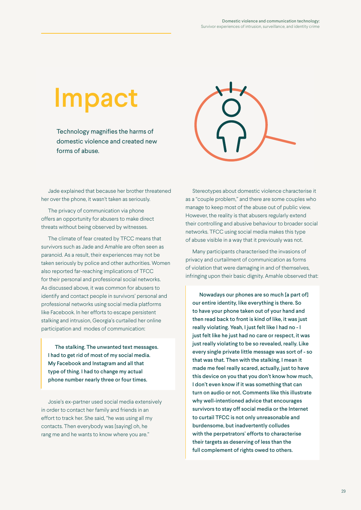## Impact

Technology magnifies the harms of domestic violence and created new forms of abuse.



Jade explained that because her brother threatened her over the phone, it wasn't taken as seriously.

The privacy of communication via phone offers an opportunity for abusers to make direct threats without being observed by witnesses.

The climate of fear created by TFCC means that survivors such as Jade and Amahle are often seen as paranoid. As a result, their experiences may not be taken seriously by police and other authorities. Women also reported far-reaching implications of TFCC for their personal and professional social networks. As discussed above, it was common for abusers to identify and contact people in survivors' personal and professional networks using social media platforms like Facebook. In her efforts to escape persistent stalking and intrusion, Georgia's curtailed her online participation and modes of communication:

The stalking. The unwanted text messages. I had to get rid of most of my social media. My Facebook and Instagram and all that type of thing. I had to change my actual phone number nearly three or four times.

Josie's ex-partner used social media extensively in order to contact her family and friends in an effort to track her. She said, "he was using all my contacts. Then everybody was [saying] oh, he rang me and he wants to know where you are."

Stereotypes about domestic violence characterise it as a "couple problem," and there are some couples who manage to keep most of the abuse out of public view. However, the reality is that abusers regularly extend their controlling and abusive behaviour to broader social networks. TFCC using social media makes this type of abuse visible in a way that it previously was not.

Many participants characterised the invasions of privacy and curtailment of communication as forms of violation that were damaging in and of themselves, infringing upon their basic dignity. Amahle observed that:

Nowadays our phones are so much [a part of] our entire identity, like everything is there. So to have your phone taken out of your hand and then read back to front is kind of like, it was just really violating. Yeah, I just felt like I had no - I just felt like he just had no care or respect, it was just really violating to be so revealed, really. Like every single private little message was sort of - so that was that. Then with the stalking, I mean it made me feel really scared, actually, just to have this device on you that you don't know how much, I don't even know if it was something that can turn on audio or not. Comments like this illustrate why well-intentioned advice that encourages survivors to stay off social media or the Internet to curtail TFCC is not only unreasonable and burdensome, but inadvertently colludes with the perpetrators' efforts to characterise their targets as deserving of less than the full complement of rights owed to others.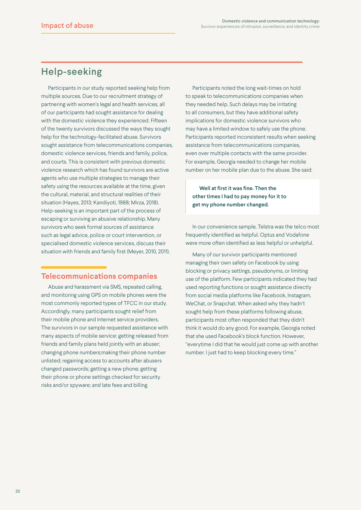### Help-seeking

Participants in our study reported seeking help from multiple sources. Due to our recruitment strategy of partnering with women's legal and health services, all of our participants had sought assistance for dealing with the domestic violence they experienced. Fifteen of the twenty survivors discussed the ways they sought help for the technology-facilitated abuse. Survivors sought assistance from telecommunications companies, domestic violence services, friends and family, police, and courts. This is consistent with previous domestic violence research which has found survivors are active agents who use multiple strategies to manage their safety using the resources available at the time, given the cultural, material, and structural realities of their situation (Hayes, 2013; Kandiyoti, 1988; Mirza, 2018). Help-seeking is an important part of the process of escaping or surviving an abusive relationship. Many survivors who seek formal sources of assistance such as legal advice, police or court intervention, or specialised domestic violence services, discuss their situation with friends and family first (Meyer, 2010, 2011).

#### **Telecommunications companies**

Abuse and harassment via SMS, repeated calling, and monitoring using GPS on mobile phones were the most commonly reported types of TFCC in our study. Accordingly, many participants sought relief from their mobile phone and Internet service providers. The survivors in our sample requested assistance with many aspects of mobile service: getting released from friends and family plans held jointly with an abuser; changing phone numbers;making their phone number unlisted; regaining access to accounts after abusers changed passwords; getting a new phone; getting their phone or phone settings checked for security risks and/or spyware; and late fees and billing.

Participants noted the long wait-times on hold to speak to telecommunications companies when they needed help. Such delays may be irritating to all consumers, but they have additional safety implications for domestic violence survivors who may have a limited window to safely use the phone. Participants reported inconsistent results when seeking assistance from telecommunications companies, even over multiple contacts with the same provider. For example, Georgia needed to change her mobile number on her mobile plan due to the abuse. She said:

Well at first it was fine. Then the other times I had to pay money for it to get my phone number changed.

In our convenience sample, Telstra was the telco most frequently identified as helpful. Optus and Vodafone were more often identified as less helpful or unhelpful.

Many of our survivor participants mentioned managing their own safety on Facebook by using blocking or privacy settings, pseudonyms, or limiting use of the platform. Few participants indicated they had used reporting functions or sought assistance directly from social media platforms like Facebook, Instagram, WeChat, or Snapchat. When asked why they hadn't sought help from these platforms following abuse, participants most often responded that they didn't think it would do any good. For example, Georgia noted that she used Facebook's block function. However, "everytime I did that he would just come up with another number. I just had to keep blocking every time."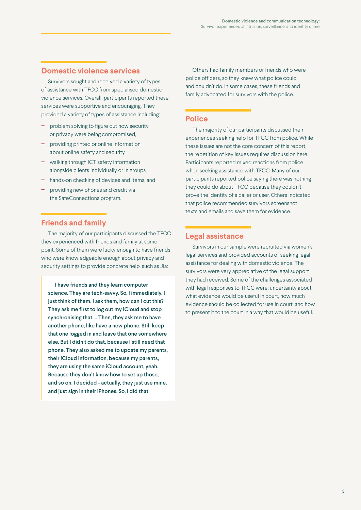### **Domestic violence services**

Survivors sought and received a variety of types of assistance with TFCC from specialised domestic violence services. Overall, participants reported these services were supportive and encouraging. They provided a variety of types of assistance including:

- **\_** problem solving to figure out how security or privacy were being compromised,
- **\_** providing printed or online information about online safety and security,
- **\_** walking through ICT safety information alongside clients individually or in groups,
- **\_** hands-on checking of devices and items, and
- **\_** providing new phones and credit via the SafeConnections program.

#### **Friends and family**

The majority of our participants discussed the TFCC they experienced with friends and family at some point. Some of them were lucky enough to have friends who were knowledgeable enough about privacy and security settings to provide concrete help, such as Jia:

I have friends and they learn computer science. They are tech-savvy. So, I immediately, I just think of them. I ask them, how can I cut this? They ask me first to log out my iCloud and stop synchronising that … Then, they ask me to have another phone, like have a new phone. Still keep that one logged in and leave that one somewhere else. But I didn't do that, because I still need that phone. They also asked me to update my parents, their iCloud information, because my parents, they are using the same iCloud account, yeah. Because they don't know how to set up those, and so on. I decided - actually, they just use mine, and just sign in their iPhones. So, I did that.

Others had family members or friends who were police officers, so they knew what police could and couldn't do. In some cases, these friends and family advocated for survivors with the police.

#### **Police**

The majority of our participants discussed their experiences seeking help for TFCC from police. While these issues are not the core concern of this report, the repetition of key issues requires discussion here. Participants reported mixed reactions from police when seeking assistance with TFCC. Many of our participants reported police saying there was nothing they could do about TFCC because they couldn't prove the identity of a caller or user. Others indicated that police recommended survivors screenshot texts and emails and save them for evidence.

#### **Legal assistance**

Survivors in our sample were recruited via women's legal services and provided accounts of seeking legal assistance for dealing with domestic violence. The survivors were very appreciative of the legal support they had received. Some of the challenges associated with legal responses to TFCC were: uncertainty about what evidence would be useful in court, how much evidence should be collected for use in court, and how to present it to the court in a way that would be useful.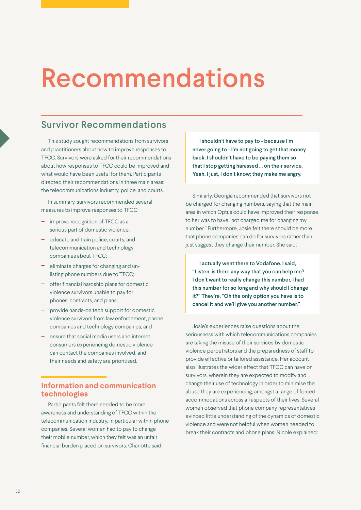## Recommendations

### Survivor Recommendations

This study sought recommendations from survivors and practitioners about how to improve responses to TFCC. Survivors were asked for their recommendations about how responses to TFCC could be improved and what would have been useful for them. Participants directed their recommendations in three main areas: the telecommunications industry, police, and courts.

In summary, survivors recommended several measures to improve responses to TFCC:

- **\_** improve recognition of TFCC as a serious part of domestic violence;
- **\_** educate and train police, courts, and telecommunication and technology companies about TFCC;
- **\_** eliminate charges for changing and unlisting phone numbers due to TFCC;
- **\_** offer financial hardship plans for domestic violence survivors unable to pay for phones, contracts, and plans;
- **\_** provide hands-on tech support for domestic violence survivors from law enforcement, phone companies and technology companies; and
- **\_** ensure that social media users and internet consumers experiencing domestic violence can contact the companies involved, and their needs and safety are prioritised.

#### **Information and communication technologies**

Participants felt there needed to be more awareness and understanding of TFCC within the telecommunication industry, in particular within phone companies. Several women had to pay to change their mobile number, which they felt was an unfair financial burden placed on survivors. Charlotte said:

I shouldn't have to pay to - because I'm never going to - I'm not going to get that money back; I shouldn't have to be paying them so that I stop getting harassed … on their service. Yeah, I just, I don't know; they make me angry.

Similarly, Georgia recommended that survivors not be charged for changing numbers, saying that the main area in which Optus could have improved their response to her was to have "not charged me for changing my number." Furthermore, Josie felt there should be more that phone companies can do for survivors rather than just suggest they change their number. She said:

I actually went there to Vodafone. I said, "Listen, is there any way that you can help me? I don't want to really change this number, I had this number for so long and why should I change it?" They're, "Oh the only option you have is to cancel it and we'll give you another number."

Josie's experiences raise questions about the seriousness with which telecommunications companies are taking the misuse of their services by domestic violence perpetrators and the preparedness of staff to provide effective or tailored assistance. Her account also illustrates the wider effect that TFCC can have on survivors, wherein they are expected to modify and change their use of technology in order to minimise the abuse they are experiencing, amongst a range of forced accommodations across all aspects of their lives. Several women observed that phone company representatives evinced little understanding of the dynamics of domestic violence and were not helpful when women needed to break their contracts and phone plans. Nicole explained: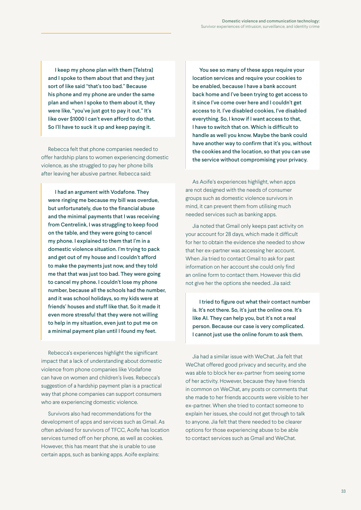I keep my phone plan with them [Telstra] and I spoke to them about that and they just sort of like said "that's too bad." Because his phone and my phone are under the same plan and when I spoke to them about it, they were like, "you've just got to pay it out." It's like over \$1000 I can't even afford to do that. So I'll have to suck it up and keep paying it.

Rebecca felt that phone companies needed to offer hardship plans to women experiencing domestic violence, as she struggled to pay her phone bills after leaving her abusive partner. Rebecca said:

I had an argument with Vodafone. They were ringing me because my bill was overdue, but unfortunately, due to the financial abuse and the minimal payments that I was receiving from Centrelink, I was struggling to keep food on the table, and they were going to cancel my phone. I explained to them that I'm in a domestic violence situation. I'm trying to pack and get out of my house and I couldn't afford to make the payments just now, and they told me that that was just too bad. They were going to cancel my phone. I couldn't lose my phone number, because all the schools had the number, and it was school holidays, so my kids were at friends' houses and stuff like that. So it made it even more stressful that they were not willing to help in my situation, even just to put me on a minimal payment plan until I found my feet.

Rebecca's experiences highlight the significant impact that a lack of understanding about domestic violence from phone companies like Vodafone can have on women and children's lives. Rebecca's suggestion of a hardship payment plan is a practical way that phone companies can support consumers who are experiencing domestic violence.

Survivors also had recommendations for the development of apps and services such as Gmail. As often advised for survivors of TFCC, Aoife has location services turned off on her phone, as well as cookies. However, this has meant that she is unable to use certain apps, such as banking apps. Aoife explains:

You see so many of these apps require your location services and require your cookies to be enabled, because I have a bank account back home and I've been trying to get access to it since I've come over here and I couldn't get access to it. I've disabled cookies, I've disabled everything. So, I know if I want access to that, I have to switch that on. Which is difficult to handle as well you know. Maybe the bank could have another way to confirm that it's you, without the cookies and the location, so that you can use the service without compromising your privacy.

As Aoife's experiences highlight, when apps are not designed with the needs of consumer groups such as domestic violence survivors in mind, it can prevent them from utilising much needed services such as banking apps.

Jia noted that Gmail only keeps past activity on your account for 28 days, which made it difficult for her to obtain the evidence she needed to show that her ex-partner was accessing her account. When Jia tried to contact Gmail to ask for past information on her account she could only find an online form to contact them. However this did not give her the options she needed. Jia said:

I tried to figure out what their contact number is. It's not there. So, it's just the online one. It's like AI. They can help you, but it's not a real person. Because our case is very complicated. I cannot just use the online forum to ask them.

Jia had a similar issue with WeChat. Jia felt that WeChat offered good privacy and security, and she was able to block her ex-partner from seeing some of her activity. However, because they have friends in common on WeChat, any posts or comments that she made to her friends accounts were visible to her ex-partner. When she tried to contact someone to explain her issues, she could not get through to talk to anyone. Jia felt that there needed to be clearer options for those experiencing abuse to be able to contact services such as Gmail and WeChat.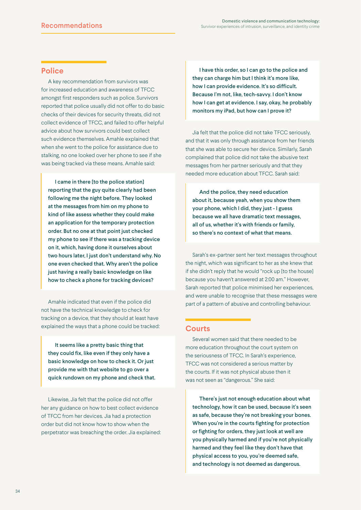#### **Police**

A key recommendation from survivors was for increased education and awareness of TFCC amongst first responders such as police. Survivors reported that police usually did not offer to do basic checks of their devices for security threats, did not collect evidence of TFCC, and failed to offer helpful advice about how survivors could best collect such evidence themselves. Amahle explained that when she went to the police for assistance due to stalking, no one looked over her phone to see if she was being tracked via these means. Amahle said:

I came in there [to the police station] reporting that the guy quite clearly had been following me the night before. They looked at the messages from him on my phone to kind of like assess whether they could make an application for the temporary protection order. But no one at that point just checked my phone to see if there was a tracking device on it, which, having done it ourselves about two hours later, I just don't understand why. No one even checked that. Why aren't the police just having a really basic knowledge on like how to check a phone for tracking devices?

Amahle indicated that even if the police did not have the technical knowledge to check for tracking on a device, that they should at least have explained the ways that a phone could be tracked:

It seems like a pretty basic thing that they could fix, like even if they only have a basic knowledge on how to check it. Or just provide me with that website to go over a quick rundown on my phone and check that.

Likewise, Jia felt that the police did not offer her any guidance on how to best collect evidence of TFCC from her devices. Jia had a protection order but did not know how to show when the perpetrator was breaching the order. Jia explained:

I have this order, so I can go to the police and they can charge him but I think it's more like, how I can provide evidence. It's so difficult. Because I'm not, like, tech-savvy. I don't know how I can get at evidence. I say, okay, he probably monitors my iPad, but how can I prove it?

Jia felt that the police did not take TFCC seriously, and that it was only through assistance from her friends that she was able to secure her device. Similarly, Sarah complained that police did not take the abusive text messages from her partner seriously and that they needed more education about TFCC. Sarah said:

And the police, they need education about it, because yeah, when you show them your phone, which I did, they just - I guess because we all have dramatic text messages, all of us, whether it's with friends or family, so there's no context of what that means.

Sarah's ex-partner sent her text messages throughout the night, which was significant to her as she knew that if she didn't reply that he would "rock up [to the house] because you haven't answered at 2:00 am." However, Sarah reported that police minimised her experiences, and were unable to recognise that these messages were part of a pattern of abusive and controlling behaviour.

#### **Courts**

Several women said that there needed to be more education throughout the court system on the seriousness of TFCC. In Sarah's experience, TFCC was not considered a serious matter by the courts. If it was not physical abuse then it was not seen as "dangerous." She said:

There's just not enough education about what technology, how it can be used, because it's seen as safe, because they're not breaking your bones. When you're in the courts fighting for protection or fighting for orders, they just look at well are you physically harmed and if you're not physically harmed and they feel like they don't have that physical access to you, you're deemed safe, and technology is not deemed as dangerous.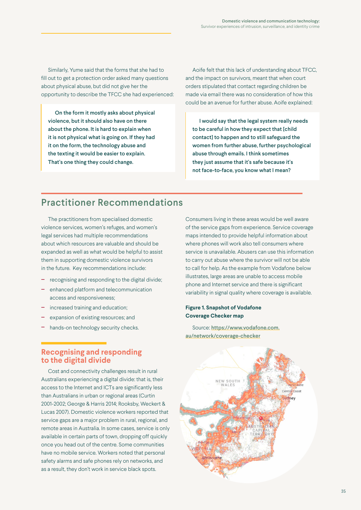Similarly, Yume said that the forms that she had to fill out to get a protection order asked many questions about physical abuse, but did not give her the opportunity to describe the TFCC she had experienced:

On the form it mostly asks about physical violence, but it should also have on there about the phone. It is hard to explain when it is not physical what is going on. If they had it on the form, the technology abuse and the texting it would be easier to explain. That's one thing they could change.

Aoife felt that this lack of understanding about TFCC, and the impact on survivors, meant that when court orders stipulated that contact regarding children be made via email there was no consideration of how this could be an avenue for further abuse. Aoife explained:

I would say that the legal system really needs to be careful in how they expect that [child contact] to happen and to still safeguard the women from further abuse, further psychological abuse through emails. I think sometimes they just assume that it's safe because it's not face-to-face, you know what I mean?

## Practitioner Recommendations

The practitioners from specialised domestic violence services, women's refuges, and women's legal services had multiple recommendations about which resources are valuable and should be expanded as well as what would be helpful to assist them in supporting domestic violence survivors in the future. Key recommendations include:

- **\_** recognising and responding to the digital divide;
- **\_** enhanced platform and telecommunication access and responsiveness;
- **\_** increased training and education;
- **\_** expansion of existing resources; and
- **\_** hands-on technology security checks.

#### **Recognising and responding to the digital divide**

Cost and connectivity challenges result in rural Australians experiencing a digital divide: that is, their access to the Internet and ICTs are significantly less than Australians in urban or regional areas (Curtin 2001-2002; George & Harris 2014; Rooksby, Weckert & Lucas 2007). Domestic violence workers reported that service gaps are a major problem in rural, regional, and remote areas in Australia. In some cases, service is only available in certain parts of town, dropping off quickly once you head out of the centre. Some communities have no mobile service. Workers noted that personal safety alarms and safe phones rely on networks, and as a result, they don't work in service black spots.

Consumers living in these areas would be well aware of the service gaps from experience. Service coverage maps intended to provide helpful information about where phones will work also tell consumers where service is unavailable. Abusers can use this information to carry out abuse where the survivor will not be able to call for help. As the example from Vodafone below illustrates, large areas are unable to access mobile phone and Internet service and there is significant variability in signal quality where coverage is available.

#### **Figure 1. Snapshot of Vodafone Coverage Checker map**

Source: https://www.vodafone.com. au/network/coverage-checker

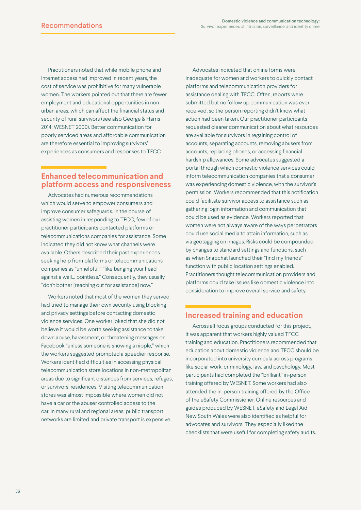Practitioners noted that while mobile phone and Internet access had improved in recent years, the cost of service was prohibitive for many vulnerable women. The workers pointed out that there are fewer employment and educational opportunities in nonurban areas, which can affect the financial status and security of rural survivors (see also George & Harris 2014; WESNET 2000). Better communication for poorly serviced areas and affordable communication are therefore essential to improving survivors' experiences as consumers and responses to TFCC.

#### **Enhanced telecommunication and platform access and responsiveness**

Advocates had numerous recommendations which would serve to empower consumers and improve consumer safeguards. In the course of assisting women in responding to TFCC, few of our practitioner participants contacted platforms or telecommunications companies for assistance. Some indicated they did not know what channels were available. Others described their past experiences seeking help from platforms or telecommunications companies as "unhelpful," "like banging your head against a wall… pointless." Consequently, they usually "don't bother [reaching out for assistance] now."

Workers noted that most of the women they served had tried to manage their own security using blocking and privacy settings before contacting domestic violence services. One worker joked that she did not believe it would be worth seeking assistance to take down abuse, harassment, or threatening messages on Facebook "unless someone is showing a nipple," which the workers suggested prompted a speedier response. Workers identified difficulties in accessing physical telecommunication store locations in non-metropolitan areas due to significant distances from services, refuges, or survivors' residences. Visiting telecommunication stores was almost impossible where women did not have a car or the abuser controlled access to the car. In many rural and regional areas, public transport networks are limited and private transport is expensive.

Advocates indicated that online forms were inadequate for women and workers to quickly contact platforms and telecommunication providers for assistance dealing with TFCC. Often, reports were submitted but no follow up communication was ever received, so the person reporting didn't know what action had been taken. Our practitioner participants requested clearer communication about what resources are available for survivors in regaining control of accounts, separating accounts, removing abusers from accounts, replacing phones, or accessing financial hardship allowances. Some advocates suggested a portal through which domestic violence services could inform telecommunication companies that a consumer was experiencing domestic violence, with the survivor's permission. Workers recommended that this notification could facilitate survivor access to assistance such as gathering login information and communication that could be used as evidence. Workers reported that women were not always aware of the ways perpetrators could use social media to attain information, such as via geotagging on images. Risks could be compounded by changes to standard settings and functions, such as when Snapchat launched their "find my friends" function with public location settings enabled. Practitioners thought telecommunication providers and platforms could take issues like domestic violence into consideration to improve overall service and safety.

#### **Increased training and education**

Across all focus groups conducted for this project, it was apparent that workers highly valued TFCC training and education. Practitioners recommended that education about domestic violence and TFCC should be incorporated into university curricula across programs like social work, criminology, law, and psychology. Most participants had completed the "brilliant" in-person training offered by WESNET. Some workers had also attended the in-person training offered by the Office of the eSafety Commissioner. Online resources and guides produced by WESNET, eSafety and Legal Aid New South Wales were also identified as helpful for advocates and survivors. They especially liked the checklists that were useful for completing safety audits.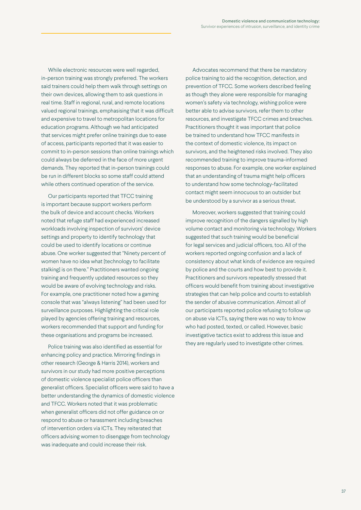While electronic resources were well regarded, in-person training was strongly preferred. The workers said trainers could help them walk through settings on their own devices, allowing them to ask questions in real time. Staff in regional, rural, and remote locations valued regional trainings, emphasising that it was difficult and expensive to travel to metropolitan locations for education programs. Although we had anticipated that services might prefer online trainings due to ease of access, participants reported that it was easier to commit to in-person sessions than online trainings which could always be deferred in the face of more urgent demands. They reported that in-person trainings could be run in different blocks so some staff could attend while others continued operation of the service.

Our participants reported that TFCC training is important because support workers perform the bulk of device and account checks. Workers noted that refuge staff had experienced increased workloads involving inspection of survivors' device settings and property to identify technology that could be used to identify locations or continue abuse. One worker suggested that "Ninety percent of women have no idea what [technology to facilitate stalking] is on there." Practitioners wanted ongoing training and frequently updated resources so they would be aware of evolving technology and risks. For example, one practitioner noted how a gaming console that was "always listening" had been used for surveillance purposes. Highlighting the critical role played by agencies offering training and resources, workers recommended that support and funding for these organisations and programs be increased.

Police training was also identified as essential for enhancing policy and practice. Mirroring findings in other research (George & Harris 2014), workers and survivors in our study had more positive perceptions of domestic violence specialist police officers than generalist officers. Specialist officers were said to have a better understanding the dynamics of domestic violence and TFCC. Workers noted that it was problematic when generalist officers did not offer guidance on or respond to abuse or harassment including breaches of intervention orders via ICTs. They reiterated that officers advising women to disengage from technology was inadequate and could increase their risk.

Advocates recommend that there be mandatory police training to aid the recognition, detection, and prevention of TFCC. Some workers described feeling as though they alone were responsible for managing women's safety via technology, wishing police were better able to advise survivors, refer them to other resources, and investigate TFCC crimes and breaches. Practitioners thought it was important that police be trained to understand how TFCC manifests in the context of domestic violence, its impact on survivors, and the heightened risks involved. They also recommended training to improve trauma-informed responses to abuse. For example, one worker explained that an understanding of trauma might help officers to understand how some technology-facilitated contact might seem innocuous to an outsider but be understood by a survivor as a serious threat.

Moreover, workers suggested that training could improve recognition of the dangers signalled by high volume contact and monitoring via technology. Workers suggested that such training would be beneficial for legal services and judicial officers, too. All of the workers reported ongoing confusion and a lack of consistency about what kinds of evidence are required by police and the courts and how best to provide it. Practitioners and survivors repeatedly stressed that officers would benefit from training about investigative strategies that can help police and courts to establish the sender of abusive communication. Almost all of our participants reported police refusing to follow up on abuse via ICTs, saying there was no way to know who had posted, texted, or called. However, basic investigative tactics exist to address this issue and they are regularly used to investigate other crimes.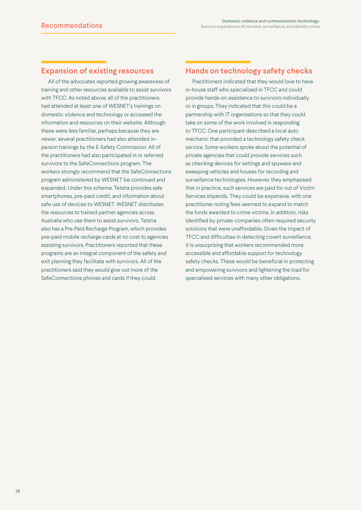#### **Expansion of existing resources**

All of the advocates reported growing awareness of training and other resources available to assist survivors with TFCC. As noted above, all of the practitioners had attended at least one of WESNET's trainings on domestic violence and technology or accessed the information and resources on their website. Although these were less familiar, perhaps because they are newer, several practitioners had also attended inperson trainings by the E-Safety Commission. All of the practitioners had also participated in or referred survivors to the SafeConnections program. The workers strongly recommend that the SafeConnections program administered by WESNET be continued and expanded. Under this scheme, Telstra provides safe smartphones, pre-paid credit, and information about safe use of devices to WESNET. WESNET distributes the resources to trained partner agencies across Australia who use them to assist survivors. Telstra also has a Pre-Paid Recharge Program, which provides pre-paid mobile recharge cards at no cost to agencies assisting survivors. Practitioners reported that these programs are an integral component of the safety and exit planning they facilitate with survivors. All of the practitioners said they would give out more of the SafeConnections phones and cards if they could.

### **Hands on technology safety checks**

Practitioners indicated that they would love to have in-house staff who specialised in TFCC and could provide hands-on assistance to survivors individually or in groups. They indicated that this could be a partnership with IT organisations so that they could take on some of the work involved in responding to TFCC. One participant described a local auto mechanic that provided a technology safety check service. Some workers spoke about the potential of private agencies that could provide services such as checking devices for settings and spyware and sweeping vehicles and houses for recording and surveillance technologies. However, they emphasised that in practice, such services are paid for out of Victim Services stipends. They could be expensive, with one practitioner noting fees seemed to expand to match the funds awarded to crime victims. In addition, risks identified by private companies often required security solutions that were unaffordable. Given the impact of TFCC and difficulties in detecting covert surveillance, it is unsurprising that workers recommended more accessible and affordable support for technology safety checks. These would be beneficial in protecting and empowering survivors and lightening the load for specialised services with many other obligations.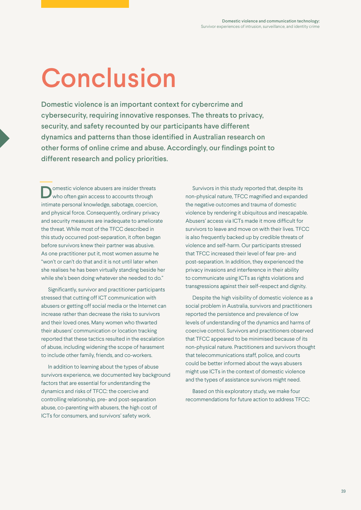## Conclusion

Domestic violence is an important context for cybercrime and cybersecurity, requiring innovative responses. The threats to privacy, security, and safety recounted by our participants have different dynamics and patterns than those identified in Australian research on other forms of online crime and abuse. Accordingly, our findings point to different research and policy priorities.

**D**omestic violence abusers are insider threats<br>who often gain access to accounts through intimate personal knowledge, sabotage, coercion, and physical force. Consequently, ordinary privacy and security measures are inadequate to ameliorate the threat. While most of the TFCC described in this study occurred post-separation, it often began before survivors knew their partner was abusive. As one practitioner put it, most women assume he "won't or can't do that and it is not until later when she realises he has been virtually standing beside her while she's been doing whatever she needed to do."

Significantly, survivor and practitioner participants stressed that cutting off ICT communication with abusers or getting off social media or the Internet can increase rather than decrease the risks to survivors and their loved ones. Many women who thwarted their abusers' communication or location tracking reported that these tactics resulted in the escalation of abuse, including widening the scope of harasment to include other family, friends, and co-workers.

In addition to learning about the types of abuse survivors experience, we documented key background factors that are essential for understanding the dynamics and risks of TFCC: the coercive and controlling relationship, pre- and post-separation abuse, co-parenting with abusers, the high cost of ICTs for consumers, and survivors' safety work.

Survivors in this study reported that, despite its non-physical nature, TFCC magnified and expanded the negative outcomes and trauma of domestic violence by rendering it ubiquitous and inescapable. Abusers' access via ICTs made it more difficult for survivors to leave and move on with their lives. TFCC is also frequently backed up by credible threats of violence and self-harm. Our participants stressed that TFCC increased their level of fear pre- and post-separation. In addition, they experienced the privacy invasions and interference in their ability to communicate using ICTs as rights violations and transgressions against their self-respect and dignity.

Despite the high visibility of domestic violence as a social problem in Australia, survivors and practitioners reported the persistence and prevalence of low levels of understanding of the dynamics and harms of coercive control. Survivors and practitioners observed that TFCC appeared to be minimised because of its non-physical nature. Practitioners and survivors thought that telecommunications staff, police, and courts could be better informed about the ways abusers might use ICTs in the context of domestic violence and the types of assistance survivors might need.

Based on this exploratory study, we make four recommendations for future action to address TFCC: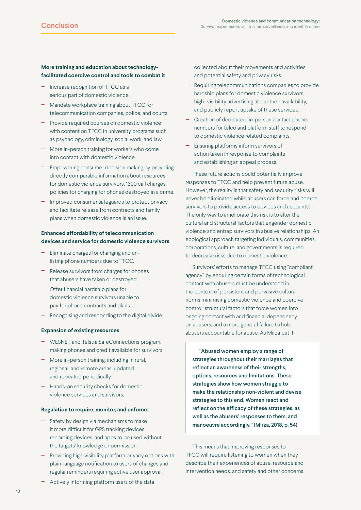#### **More training and education about technologyfacilitated coercive control and tools to combat it**

- **\_** Increase recognition of TFCC as a serious part of domestic violence.
- **\_** Mandate workplace training about TFCC for telecommunication companies, police, and courts.
- **\_** Provide required courses on domestic violence with content on TFCC in university programs such as psychology, criminology, social work, and law.
- **\_** More in-person training for workers who come into contact with domestic violence.
- **\_** Empowering consumer decision making by providing directly comparable information about resources for domestic violence survivors, 1300 call charges, policies for charging for phones destroyed in a crime.
- **\_** Improved consumer safeguards to protect privacy and facilitate release from contracts and family plans when domestic violence is an issue.

#### **Enhanced affordability of telecommunication devices and service for domestic violence survivors**

- **\_** Eliminate charges for changing and unlisting phone numbers due to TFCC.
- **\_** Release survivors from charges for phones that abusers have taken or destroyed.
- **\_** Offer financial hardship plans for domestic violence survivors unable to pay for phone contracts and plans.
- **\_** Recognising and responding to the digital divide.

#### **Expansion of existing resources**

- **\_** WESNET and Telstra SafeConnections program: making phones and credit available for survivors.
- **\_** More in-person training, including in rural, regional, and remote areas, updated and repeated periodically.
- **\_** Hands-on security checks for domestic violence services and survivors.

#### **Regulation to require, monitor, and enforce:**

- **\_** Safety by design via mechanisms to make it more difficult for GPS tracking devices, recording devices, and apps to be used without the targets' knowledge or permission.
- **\_** Providing high-visibility platform privacy options with plain-language notification to users of changes and regular reminders requiring active user approval.
- **\_** Actively informing platform users of the data

collected about their movements and activities and potential safety and privacy risks.

- **\_** Requiring telecommunications companies to provide hardship plans for domestic violence survivors, high -visibility advertising about their availability, and publicly report uptake of these services.
- **\_** Creation of dedicated, in-person contact phone numbers for telco and platform staff to respond to domestic violence related complaints.
- **\_** Ensuring platforms inform survivors of action taken in response to complaints and establishing an appeal process.

These future actions could potentially improve responses to TFCC and help prevent future abuse. However, the reality is that safety and security risks will never be eliminated while abusers can force and coerce survivors to provide access to devices and accounts. The only way to ameliorate this risk is to alter the cultural and structural factors that engender domestic violence and entrap survivors in abusive relationships. An ecological approach targeting individuals, communities, corporations, culture, and governments is required to decrease risks due to domestic violence.

Survivors' efforts to manage TFCC using "compliant agency" by enduring certain forms of technological contact with abusers must be understood in the context of persistent and pervasive cultural norms minimising domestic violence and coercive control; structural factors that force women into ongoing contact with and financial dependency on abusers; and a more general failure to hold abusers accountable for abuse. As Mirza put it,

"Abused women employ a range of strategies throughout their marriages that reflect an awareness of their strengths, options, resources and limitations. These strategies show how women struggle to make the relationship non-violent and devise strategies to this end. Women react and reflect on the efficacy of these strategies, as well as the abusers' responses to them, and manoeuvre accordingly." (Mirza, 2018, p. 54)

This means that improving responses to TFCC will require listening to women when they describe their experiences of abuse, resource and intervention needs, and safety and other concerns.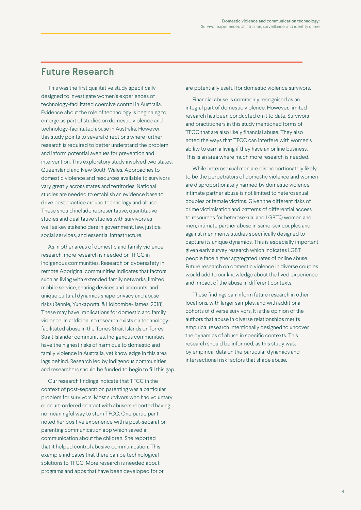### Future Research

This was the first qualitative study specifically designed to investigate women's experiences of technology-facilitated coercive control in Australia. Evidence about the role of technology is beginning to emerge as part of studies on domestic violence and technology-facilitated abuse in Australia. However, this study points to several directions where further research is required to better understand the problem and inform potential avenues for prevention and intervention. This exploratory study involved two states, Queensland and New South Wales. Approaches to domestic violence and resources available to survivors vary greatly across states and territories. National studies are needed to establish an evidence base to drive best practice around technology and abuse. These should include representative, quantitative studies and qualitative studies with survivors as well as key stakeholders in government, law, justice, social services, and essential infrastructure.

As in other areas of domestic and family violence research, more research is needed on TFCC in Indigenous communities. Research on cybersafety in remote Aboriginal communities indicates that factors such as living with extended family networks, limited mobile service, sharing devices and accounts, and unique cultural dynamics shape privacy and abuse risks (Rennie, Yunkaporta, & Holcombe-James, 2018). These may have implications for domestic and family violence. In addition, no research exists on technologyfacilitated abuse in the Torres Strait Islands or Torres Strait Islander communities. Indigenous communities have the highest risks of harm due to domestic and family violence in Australia, yet knowledge in this area lags behind. Research led by Indigenous communities and researchers should be funded to begin to fill this gap.

Our research findings indicate that TFCC in the context of post-separation parenting was a particular problem for survivors. Most survivors who had voluntary or court-ordered contact with abusers reported having no meaningful way to stem TFCC. One participant noted her positive experience with a post-separation parenting communication app which saved all communication about the children. She reported that it helped control abusive communication. This example indicates that there can be technological solutions to TFCC. More research is needed about programs and apps that have been developed for or

are potentially useful for domestic violence survivors.

Financial abuse is commonly recognised as an integral part of domestic violence. However, limited research has been conducted on it to date. Survivors and practitioners in this study mentioned forms of TFCC that are also likely financial abuse. They also noted the ways that TFCC can interfere with women's ability to earn a living if they have an online business. This is an area where much more research is needed.

While heterosexual men are disproportionately likely to be the perpetrators of domestic violence and women are disproportionately harmed by domestic violence, intimate partner abuse is not limited to heterosexual couples or female victims. Given the different risks of crime victimisation and patterns of differential access to resources for heterosexual and LGBTQ women and men, intimate partner abuse in same-sex couples and against men merits studies specifically designed to capture its unique dynamics. This is especially important given early survey research which indicates LGBT people face higher aggregated rates of online abuse. Future research on domestic violence in diverse couples would add to our knowledge about the lived experience and impact of the abuse in different contexts.

These findings can inform future research in other locations, with larger samples, and with additional cohorts of diverse survivors. It is the opinion of the authors that abuse in diverse relationships merits empirical research intentionally designed to uncover the dynamics of abuse in specific contexts. This research should be informed, as this study was, by empirical data on the particular dynamics and intersectional risk factors that shape abuse.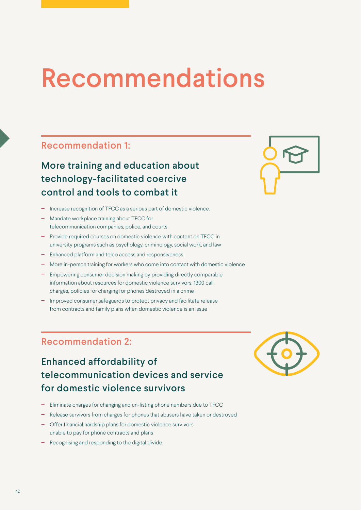## Recommendations

### Recommendation 1:

More training and education about technology-facilitated coercive control and tools to combat it

- **\_** Increase recognition of TFCC as a serious part of domestic violence.
- **\_** Mandate workplace training about TFCC for telecommunication companies, police, and courts
- **\_** Provide required courses on domestic violence with content on TFCC in university programs such as psychology, criminology, social work, and law
- **\_** Enhanced platform and telco access and responsiveness
- **\_** More in-person training for workers who come into contact with domestic violence
- **\_** Empowering consumer decision making by providing directly comparable information about resources for domestic violence survivors, 1300 call charges, policies for charging for phones destroyed in a crime
- **\_** Improved consumer safeguards to protect privacy and facilitate release from contracts and family plans when domestic violence is an issue

### Recommendation 2:

## Enhanced affordability of telecommunication devices and service for domestic violence survivors

- **\_** Eliminate charges for changing and un-listing phone numbers due to TFCC
- **\_** Release survivors from charges for phones that abusers have taken or destroyed
- **\_** Offer financial hardship plans for domestic violence survivors unable to pay for phone contracts and plans
- **\_** Recognising and responding to the digital divide



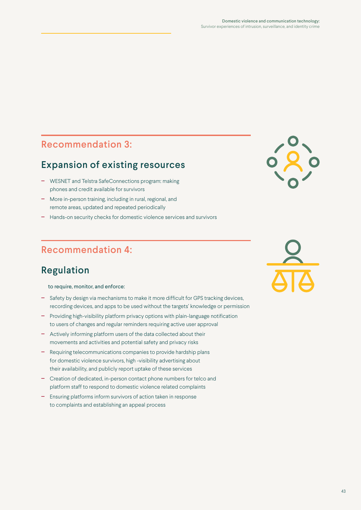### Recommendation 3:

### Expansion of existing resources

- **\_** WESNET and Telstra SafeConnections program: making phones and credit available for survivors
- **\_** More in-person training, including in rural, regional, and remote areas, updated and repeated periodically
- **\_** Hands-on security checks for domestic violence services and survivors

### Recommendation 4:

### Regulation

to require, monitor, and enforce:

- **\_** Safety by design via mechanisms to make it more difficult for GPS tracking devices, recording devices, and apps to be used without the targets' knowledge or permission
- **\_** Providing high-visibility platform privacy options with plain-language notification to users of changes and regular reminders requiring active user approval
- **\_** Actively informing platform users of the data collected about their movements and activities and potential safety and privacy risks
- **\_** Requiring telecommunications companies to provide hardship plans for domestic violence survivors, high -visibility advertising about their availability, and publicly report uptake of these services
- **\_** Creation of dedicated, in-person contact phone numbers for telco and platform staff to respond to domestic violence related complaints
- **\_** Ensuring platforms inform survivors of action taken in response to complaints and establishing an appeal process

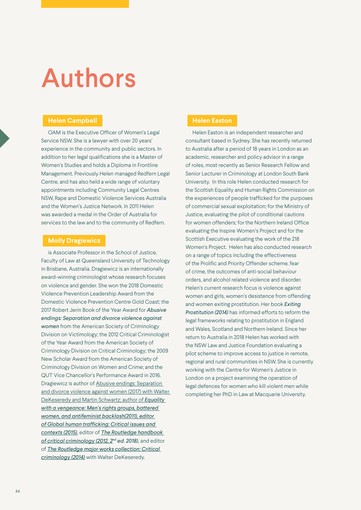## Authors

#### **Helen Campbell**

OAM is the Executive Officer of Women's Legal Service NSW. She is a lawyer with over 20 years' experience in the community and public sectors. In addition to her legal qualifications she is a Master of Women's Studies and holds a Diploma in Frontline Management. Previously Helen managed Redfern Legal Centre, and has also held a wide range of voluntary appointments including Community Legal Centres NSW, Rape and Domestic Violence Services Australia and the Women's Justice Network. In 2011 Helen was awarded a medal in the Order of Australia for services to the law and to the community of Redfern.

#### **Molly Dragiewicz**

is Associate Professor in the School of Justice, Faculty of Law at Queensland University of Technology in Brisbane, Australia. Dragiewicz is an internationally award-winning criminologist whose research focuses on violence and gender. She won the 2018 Domestic Violence Prevention Leadership Award from the Domestic Violence Prevention Centre Gold Coast; the 2017 Robert Jerin Book of the Year Award for *Abusive endings: Separation and divorce violence against women* from the American Society of Criminology Division on Victimology; the 2012 Critical Criminologist of the Year Award from the American Society of Criminology Division on Critical Criminology; the 2009 New Scholar Award from the American Society of Criminology Division on Women and Crime; and the QUT Vice Chancellor's Performance Award in 2016. Dragiewicz is author of Abusive endings: Separation and divorce violence against women (2017) with Walter DeKeseredy and Martin Schwartz; author of *Equality with a vengeance: Men's rights groups, battered women, and antifeminist backlash(2011), editor of Global human trafficking: Critical issues and contexts (2015),* editor of *The Routledge handbook of critical criminology (2012, 2nd ed. 2018),* and editor of *The Routledge major works collection: Critical criminology (2014)* with Walter DeKeseredy.

#### **Helen Easton**

Helen Easton is an independent researcher and consultant based in Sydney. She has recently returned to Australia after a period of 18 years in London as an academic, researcher and policy advisor in a range of roles, most recently as Senior Research Fellow and Senior Lecturer in Criminology at London South Bank University. In this role Helen conducted research for the Scottish Equality and Human Rights Commission on the experiences of people trafficked for the purposes of commercial sexual exploitation; for the Ministry of Justice, evaluating the pilot of conditional cautions for women offenders; for the Northern Ireland Office evaluating the Inspire Women's Project and for the Scottish Executive evaluating the work of the 218 Women's Project. Helen has also conducted research on a range of topics including the effectiveness of the Prolific and Priority Offender scheme, fear of crime, the outcomes of anti-social behaviour orders, and alcohol related violence and disorder. Helen's current research focus is violence against women and girls, women's desistence from offending and women exiting prostitution. Her book *Exiting Prostitution (2014)* has informed efforts to reform the legal frameworks relating to prostitution in England and Wales, Scotland and Northern Ireland. Since her return to Australia in 2018 Helen has worked with the NSW Law and Justice Foundation evaluating a pilot scheme to improve access to justice in remote, regional and rural communities in NSW. She is currently working with the Centre for Women's Justice in London on a project examining the operation of legal defences for women who kill violent men while completing her PhD in Law at Macquarie University.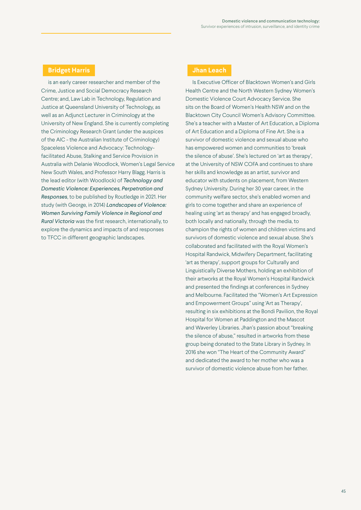#### **Bridget Harris**

is an early career researcher and member of the Crime, Justice and Social Democracy Research Centre; and, Law Lab in Technology, Regulation and Justice at Queensland University of Technology, as well as an Adjunct Lecturer in Criminology at the University of New England. She is currently completing the Criminology Research Grant (under the auspices of the AIC - the Australian Institute of Criminology) Spaceless Violence and Advocacy: Technologyfacilitated Abuse, Stalking and Service Provision in Australia with Delanie Woodlock, Women's Legal Service New South Wales, and Professor Harry Blagg. Harris is the lead editor (with Woodlock) of *Technology and Domestic Violence: Experiences, Perpetration and Responses*, to be published by Routledge in 2021. Her study (with George, in 2014) *Landscapes of Violence: Women Surviving Family Violence in Regional and Rural Victoria* was the first research, internationally, to explore the dynamics and impacts of and responses to TFCC in different geographic landscapes.

#### **Jhan Leach**

Is Executive Officer of Blacktown Women's and Girls Health Centre and the North Western Sydney Women's Domestic Violence Court Advocacy Service. She sits on the Board of Women's Health NSW and on the Blacktown City Council Women's Advisory Committee. She's a teacher with a Master of Art Education, a Diploma of Art Education and a Diploma of Fine Art. She is a survivor of domestic violence and sexual abuse who has empowered women and communities to 'break the silence of abuse'. She's lectured on 'art as therapy', at the University of NSW COFA and continues to share her skills and knowledge as an artist, survivor and educator with students on placement, from Western Sydney University. During her 30 year career, in the community welfare sector, she's enabled women and girls to come together and share an experience of healing using 'art as therapy' and has engaged broadly, both locally and nationally, through the media, to champion the rights of women and children victims and survivors of domestic violence and sexual abuse. She's collaborated and facilitated with the Royal Women's Hospital Randwick, Midwifery Department, facilitating 'art as therapy', support groups for Culturally and Linguistically Diverse Mothers, holding an exhibition of their artworks at the Royal Women's Hospital Randwick and presented the findings at conferences in Sydney and Melbourne. Facilitated the ''Women's Art Expression and Empowerment Groups" using 'Art as Therapy', resulting in six exhibitions at the Bondi Pavilion, the Royal Hospital for Women at Paddington and the Mascot and Waverley Libraries. Jhan's passion about "breaking the silence of abuse," resulted in artworks from these group being donated to the State Library in Sydney. In 2016 she won "The Heart of the Community Award" and dedicated the award to her mother who was a survivor of domestic violence abuse from her father.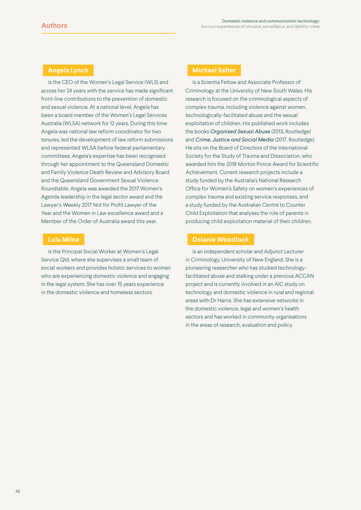#### **Angela Lynch**

is the CEO of the Women's Legal Service (WLS) and across her 24 years with the service has made significant front-line contributions to the prevention of domestic and sexual violence. At a national level, Angela has been a board member of the Women's Legal Services Australia (WLSA) network for 12 years. During this time Angela was national law reform coordinator for two tenures, led the development of law reform submissions and represented WLSA before federal parliamentary committees. Angela's expertise has been recognised through her appointment to the Queensland Domestic and Family Violence Death Review and Advisory Board and the Queensland Government Sexual Violence Roundtable. Angela was awarded the 2017 Women's Agenda leadership in the legal sector award and the Lawyer's Weekly 2017 Not for Profit Lawyer of the Year and the Women in Law excellence award and a Member of the Order of Australia award this year.

#### **Lulu Milne**

is the Principal Social Worker at Women's Legal Service Qld, where she supervises a small team of social workers and provides holistic services to women who are experiencing domestic violence and engaging in the legal system. She has over 15 years experience in the domestic violence and homeless sectors.

#### **Michael Salter**

is a Scientia Fellow and Associate Professor of Criminology at the University of New South Wales. His research is focused on the criminological aspects of complex trauma, including violence against women, technologically-facilitated abuse and the sexual exploitation of children. His published work includes the books *Organised Sexual Abuse* (2013, Routledge) and *Crime, Justice and Social Media* (2017, Routledge). He sits on the Board of Directors of the International Society for the Study of Trauma and Dissociation, who awarded him the 2018 Morton Prince Award for Scientific Achievement. Current research projects include a study funded by the Australia's National Research Office for Women's Safety on women's experiences of complex trauma and existing service responses, and a study funded by the Australian Centre to Counter Child Exploitation that analyses the role of parents in producing child exploitation material of their children.

#### **Delanie Woodlock**

is an independent scholar and Adjunct Lecturer in Criminology, University of New England. She is a pioneering researcher who has studied technologyfacilitated abuse and stalking under a previous ACCAN project and is currently involved in an AIC study on technology and domestic violence in rural and regional areas with Dr Harris. She has extensive networks in the domestic violence, legal and women's health sectors and has worked in community organisations in the areas of research, evaluation and policy.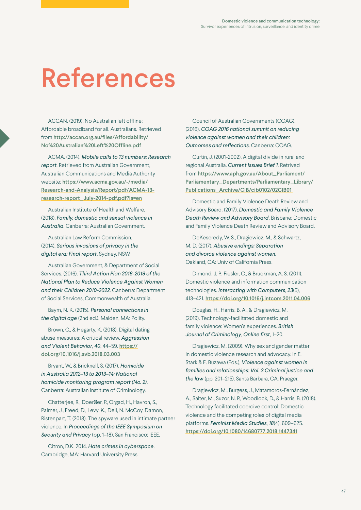## References

ACCAN. (2019). No Australian left offline: Affordable broadband for all. Australians. Retrieved from http://accan.org.au/files/Affordability/ No%20Australian%20Left%20Offline.pdf

ACMA. (2014). *Mobile calls to 13 numbers: Research report*. Retrieved from Australian Government, Australian Communications and Media Authority website: https://www.acma.gov.au/-/media/ Research-and-Analysis/Report/pdf/ACMA-13 research-report\_July-2014-pdf.pdf?la=en

Australian Institute of Health and Welfare. (2018). *Family, domestic and sexual violence in Australia*. Canberra: Australian Government.

Australian Law Reform Commission. (2014). *Serious invasions of privacy in the digital era: Final report*. Sydney, NSW.

Australian Government, & Department of Social Services. (2016). *Third Action Plan 2016-2019 of the National Plan to Reduce Violence Against Women and their Children 2010-2022*. Canberra: Department of Social Services, Commonwealth of Australia.

Baym, N. K. (2015). *Personal connections in the digital age* (2nd ed.). Malden, MA: Polity.

Brown, C., & Hegarty, K. (2018). Digital dating abuse measures: A critical review. *Aggression and Violent Behavior*, *40*, 44–59. https:// doi.org/10.1016/j.avb.2018.03.003

Bryant, W., & Bricknell, S. (2017). *Homicide in Australia 2012–13 to 2013–14: National homicide monitoring program report (No. 2)*. Canberra: Australian Institute of Criminology.

Chatterjee, R., Doerfler, P., Orgad, H., Havron, S., Palmer, J., Freed, D., Levy, K., Dell, N. McCoy, Damon, Ristenpart, T. (2018). The spyware used in intimate partner violence. In *Proceedings of the IEEE Symposium on Security and Privacy* (pp. 1–18). San Francisco: IEEE.

Citron, D.K. 2014. *Hate crimes in cyberspace*. Cambridge, MA: Harvard University Press.

Council of Australian Governments (COAG). (2016). *COAG 2016 national summit on reducing violence against women and their children: Outcomes and reflections*. Canberra: COAG.

Curtin, J. (2001-2002). A digital divide in rural and regional Australia. *Current Issues Brief 1.* Retrived from https://www.aph.gov.au/About\_Parliament/ Parliamentary\_Departments/Parliamentary\_Library/ Publications\_Archive/CIB/cib0102/02CIB01

Domestic and Family Violence Death Review and Advisory Board. (2017). *Domestic and Family Violence Death Review and Advisory Board*. Brisbane: Domestic and Family Violence Death Review and Advisory Board.

DeKeseredy, W. S., Dragiewicz, M., & Schwartz, M. D. (2017). *Abusive endings: Separation and divorce violence against women*. Oakland, CA: Univ of California Press.

Dimond, J. P., Fiesler, C., & Bruckman, A. S. (2011). Domestic violence and information communication technologies. *Interacting with Computers*, *23*(5), 413–421. https://doi.org/10.1016/j.intcom.2011.04.006

Douglas, H., Harris, B. A., & Dragiewicz, M. (2019). Technology-facilitated domestic and family violence: Women's experiences. *British Journal of Criminology*, *Online first*, 1–20.

Dragiewicz, M. (2009). Why sex and gender matter in domestic violence research and advocacy. In E. Stark & E. Buzawa (Eds.), *Violence against women in families and relationships: Vol. 3 Criminal justice and the law* (pp. 201–215). Santa Barbara, CA: Praeger.

Dragiewicz, M., Burgess, J., Matamoros-Fernández, A., Salter, M., Suzor, N. P., Woodlock, D., & Harris, B. (2018). Technology facilitated coercive control: Domestic violence and the competing roles of digital media platforms. *Feminist Media Studies*, *18*(4), 609–625. https://doi.org/10.1080/14680777.2018.1447341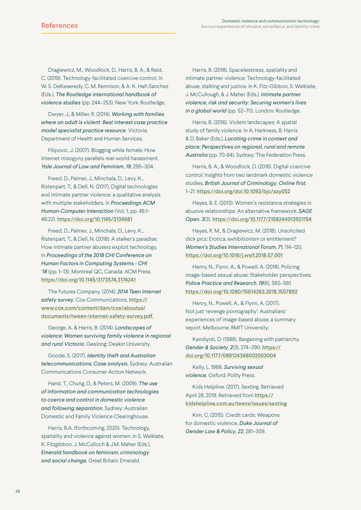Dragiewicz, M., Woodlock, D., Harris, B. A., & Reid, C. (2019). Technology-facilitated coercive control. In W. S. DeKeseredy, C. M. Rennison, & A. K. Hall-Sanchez (Eds.), *The Routledge international handbook of violence studies* (pp. 244–253). New York: Routledge.

Dwyer, J., & Miller, R. (2014). *Working with families where an adult is violent: Best interest case practice model specialist practice resource*. Victoria: Department of Health and Human Services.

Filipovic, J. (2007). Blogging while female: How Internet misogyny parallels real-world harassment. *Yale Journal of Law and Feminism*, *19*, 295–304.

Freed, D., Palmer, J., Minchala, D., Levy, K., Ristenpart, T., & Dell, N. (2017). Digital technologies and intimate partner violence: a qualitative analysis with multiple stakeholders. In *Proceedings ACM Human-Computer Interaction* (Vol. 1, pp. 46:1- 46:22). https://doi.org/10.1145/3134681

Freed, D., Palmer, J., Minchala, D., Levy, K., Ristenpart, T., & Dell, N. (2018). A stalker's paradise: How intimate partner abusers exploit technology. In *Proceedings of the 2018 CHI Conference on Human Factors in Computing Systems - CHI '18* (pp. 1–13). Montreal QC, Canada: ACM Press. https://doi.org/10.1145/3173574.3174241

The Futures Company. (2014). *2014 Teen Internet safety survey*. Cox Communications. https:// www.cox.com/content/dam/cox/aboutus/ documents/tween-internet-safety-survey.pdf.

George, A. & Harris, B. (2014). *Landscapes of violence: Women surviving family violence in regional and rural Victoria*. Geelong: Deakin University.

Goode, S. (2017). *Identity theft and Australian telecommunications: Case analysis*. Sydney: Australian Communications Consumer Action Network.

Hand, T., Chung, D., & Peters, M. (2009). *The use of information and communication technologies to coerce and control in domestic violence and following separation*. Sydney: Australian Domestic and Family Violence Clearinghouse.

Harris, B.A. (forthcoming, 2020). Technology, spatiality and violence against women. In S. Walklate, K. Fitzgibbon, J. McCulloch & J.M. Maher (Eds.), *Emerald handbook on feminism, criminology and social change.* Great Britain: Emerald.

Harris, B. (2018). Spacelessness, spatiality and intimate partner violence: Technology-facilitated abuse, stalking and justice. In K. Fitz-Gibbon, S. Walklate, J. McCullough, & J. Maher (Eds.), *Intimate partner violence, risk and security: Securing women's lives in a global world* (pp. 52–70). London: Routledge.

Harris, B. (2016). Violent landscapes: A spatial study of family violence. In A. Harkness, B. Harris & D. Baker (Eds.), *Locating crime in context and place: Perspectives on regional, rural and remote Australia* (pp. 70-84). Sydney: The Federation Press.

Harris, B. A., & Woodlock, D. (2018). Digital coercive control: Insights from two landmark domestic violence studies. *British Journal of Criminology*, *Online first*, 1–21. https://doi.org/doi:10.1093/bjc/azy052

Hayes, B. E. (2013). Women's resistance strategies in abusive relationships: An alternative framework. *SAGE Open*, *3*(3). https://doi.org/10.1177/2158244013501154

Hayes, R. M., & Dragiewicz, M. (2018). Unsolicited dick pics: Erotica, exhibitionism or entitlement? *Women's Studies International Forum*, *71*, 114–120. https://doi.org/10.1016/j.wsif.2018.07.001

Henry, N., Flynn, A., & Powell, A. (2018). Policing image-based sexual abuse: Stakeholder perspectives. *Police Practice and Research*, *19*(6), 565–581. https://doi.org/10.1080/15614263.2018.1507892

Henry, N., Powell, A., & Flynn, A. (2017). Not just 'revenge pornography': Australians' experiences of image-based abuse, a summary report. Melbourne: RMIT University.

Kandiyoti, D. (1988). Bargaining with patriarchy. *Gender & Society*, *2*(3), 274–290. https:// doi.org/10.1177/089124388002003004

Kelly, L. 1988. *Surviving sexual violence*. Oxford: Polity Press.

Kids Helpline. (2017). Sexting. Retrieved April 28, 2019. Retrieved from https:// kidshelpline.com.au/teens/issues/sexting

Kim, C. (2015). Credit cards: Weapons for domestic violence. *Duke Journal of Gender Law & Policy*, *22*, 281–309.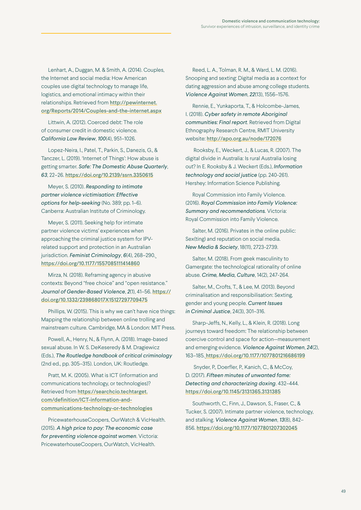Lenhart, A., Duggan, M. & Smith, A. (2014). Couples, the Internet and social media: How American couples use digital technology to manage life, logistics, and emotional intimacy within their relationships. Retrieved from http://pewinternet. org/Reports/2014/Couples-and-the-internet.aspx

Littwin, A. (2012). Coerced debt: The role of consumer credit in domestic violence. *California Law Review*, *100*(4), 951–1026.

Lopez-Neira, I., Patel, T., Parkin, S., Danezis, G., & Tanczer, L. (2019). 'Internet of Things': How abuse is getting smarter. *Safe: The Domestic Abuse Quarterly*, *63*, 22–26. https://doi.org/10.2139/ssrn.3350615

Meyer, S. (2010). *Responding to intimate partner violence victimisation: Effective options for help-seeking* (No. 389; pp. 1–6). Canberra: Australian Institute of Criminology.

Meyer, S. (2011). Seeking help for intimate partner violence victims' experiences when approaching the criminal justice system for IPVrelated support and protection in an Australian jurisdiction. *Feminist Criminology*, *6*(4), 268–290. https://doi.org/10.1177/1557085111414860

Mirza, N. (2018). Reframing agency in abusive contexts: Beyond "free choice" and "open resistance." *Journal of Gender-Based Violence*, *2*(1), 41–56. https:// doi.org/10.1332/239868017X15127297709475

Phillips, W. (2015). This is why we can't have nice things: Mapping the relationship between online trolling and mainstream culture. Cambridge, MA & London: MIT Press.

Powell, A., Henry, N., & Flynn, A. (2018). Image-based sexual abuse. In W. S. DeKeseredy & M. Dragiewicz (Eds.), *The Routledge handbook of critical criminology* (2nd ed., pp. 305–315). London, UK: Routledge.

Pratt, M. K. (2005). What is ICT (information and communications technology, or technologies)? Retrieved from https://searchcio.techtarget. com/definition/ICT-information-andcommunications-technology-or-technologies

PricewaterhouseCoopers, OurWatch & VicHealth. (2015). *A high price to pay: The economic case for preventing violence against women*. Victoria: PricewaterhouseCoopers, OurWatch, VicHealth.

Reed, L. A., Tolman, R. M., & Ward, L. M. (2016). Snooping and sexting: Digital media as a context for dating aggression and abuse among college students. *Violence Against Women*, *22*(13), 1556–1576.

Rennie, E., Yunkaporta, T., & Holcombe-James, I. (2018). *Cyber safety in remote Aboriginal communities: Final report*. Retrieved from Digital Ethnography Research Centre, RMIT University website: http://apo.org.au/node/172076

 Rooksby, E., Weckert, J., & Lucas, R. (2007). The digital divide in Australia: Is rural Australia losing out? In E. Rooksby & J. Weckert (Eds.), *Information technology and social justice* (pp. 240-261). Hershey: Information Science Publishing.

Royal Commission into Family Violence. (2016). *Royal Commission into Family Violence: Summary and recommendations.* Victoria: Royal Commission into Family Violence.

Salter, M. (2016). Privates in the online public: Sex(ting) and reputation on social media. *New Media & Society*, 18(11), 2723-2739.

Salter, M. (2018). From geek masculinity to Gamergate: the technological rationality of online abuse. *Crime, Media, Culture*, 14(2), 247-264.

Salter, M., Crofts, T., & Lee, M. (2013). Beyond criminalisation and responsibilisation: Sexting, gender and young people. *Current Issues in Criminal Justice*, 24(3), 301–316.

Sharp-Jeffs, N., Kelly, L., & Klein, R. (2018). Long journeys toward freedom: The relationship between coercive control and space for action—measurement and emerging evidence. *Violence Against Women*, *24*(2), 163–185. https://doi.org/10.1177/1077801216686199

 Snyder, P., Doerfler, P., Kanich, C., & McCoy, D. (2017). *Fifteen minutes of unwanted fame: Detecting and characterizing doxing*. 432–444. https://doi.org/10.1145/3131365.3131385

Southworth, C., Finn, J., Dawson, S., Fraser, C., & Tucker, S. (2007). Intimate partner violence, technology, and stalking. *Violence Against Women*, *13*(8), 842– 856. https://doi.org/10.1177/1077801207302045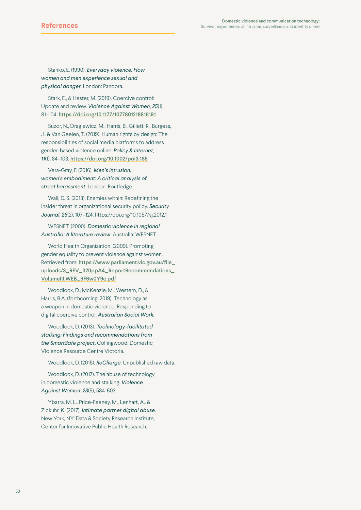Stanko, E. (1990). *Everyday violence: How women and men experience sexual and physical danger*. London: Pandora.

Stark, E., & Hester, M. (2019). Coercive control: Update and review. *Violence Against Women*, *25*(1), 81–104. https://doi.org/10.1177/1077801218816191

Suzor, N., Dragiewicz, M., Harris, B., Gillett, R., Burgess, J., & Van Geelen, T. (2019). Human rights by design: The responsibilities of social media platforms to address gender-based violence online. *Policy & Internet*, *11*(1), 84–103. https://doi.org/10.1002/poi3.185

Vera-Gray, F. (2016), *Men's intrusion, women's embodiment: A critical analysis of street harassment*. London: Routledge.

Wall, D. S. (2013). Enemies within: Redefining the insider threat in organizational security policy. *Security Journal*, *26*(2), 107–124. https://doi.org/10.1057/sj.2012.1

WESNET. (2000). *Domestic violence in regional Australia: A literature review*. Australia: WESNET.

World Health Organization. (2009). Promoting gender equality to prevent violence against women. Retrieved from: https://www.parliament.vic.gov.au/file\_ uploads/3\_RFV\_320ppA4\_ReportRecommendations\_ VolumeIII.WEB\_9F6w0Y9c.pdf

Woodlock, D., McKenzie, M., Western, D., & Harris, B.A. (forthcoming, 2019). Technology as a weapon in domestic violence: Responding to digital coercive control. *Australian Social Work.*

Woodlock, D. (2013). *Technology-facilitated stalking: Findings and recommendations from the SmartSafe project*. Collingwood: Domestic Violence Resource Centre Victoria.

Woodlock, D. (2015). *ReCharge*. Unpublished raw data.

Woodlock, D. (2017). The abuse of technology in domestic violence and stalking. *Violence Against Women*, *23*(5), 584-602.

Ybarra, M. L., Price-Feeney, M., Lenhart, A., & Zickuhr, K. (2017). *Intimate partner digital abuse*. New York, NY: Data & Society Research Institute, Center for Innovative Public Health Research.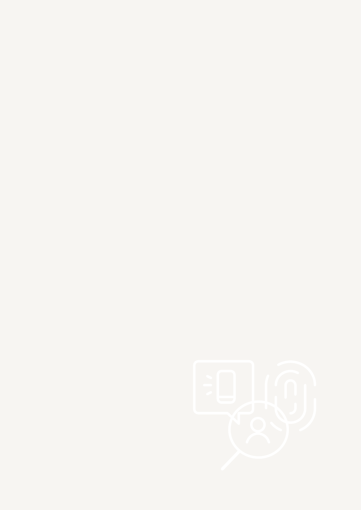